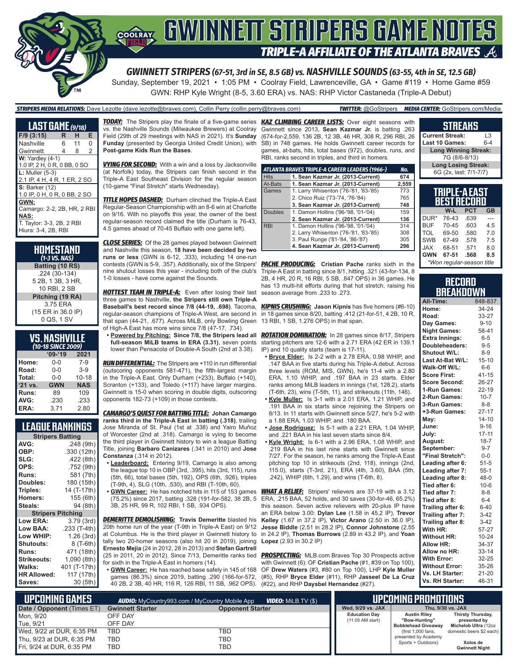

# **COORAY GWINNEIT STRIPERS GAME NOTES TRIPLE-A AFFILIATE OF THE ATLANTA BRAVES**

*GWINNETT STRIPERS (67-51, 3rd in SE, 8.5 GB) vs. NASHVILLE SOUNDS (63-55, 4th in SE, 12.5 GB)*

Sunday, September 19, 2021 • 1:05 PM • Coolray Field, Lawrenceville, GA • Game #119 • Home Game #59 GWN: RHP Kyle Wright (8-5, 3.60 ERA) vs. NAS: RHP Victor Castaneda (Triple-A Debut)

### *STRIPERS MEDIA RELATIONS:* Dave Lezotte (dave.lezotte@braves.com), Collin Perry (collin.perry@braves.com) *TWITTER:* @GoStripers *MEDIA CENTER:* GoStripers.com/Media

| <b>LAST GAME</b> (9/18)                                                                                |   |    |   |  |  |
|--------------------------------------------------------------------------------------------------------|---|----|---|--|--|
| $F/9$ (3:15)                                                                                           | R | н  | Е |  |  |
| Nashville                                                                                              | 6 | 11 | 0 |  |  |
| Gwinnett                                                                                               | 4 | 8  | 2 |  |  |
| $W:$ Yardley (4-1)<br>1.0 IP, 2 H, 0 R, 0 BB, 0 SO                                                     |   |    |   |  |  |
| $L:$ Muller $(5-3)$<br>2.1 IP, 4 H, 4 R, 1 ER, 2 SO                                                    |   |    |   |  |  |
| <b>S: Barker (12)</b><br>1.0 IP, 0 H, 0 R, 0 BB, 2 SO                                                  |   |    |   |  |  |
| GWN:<br>Camargo: 2-2, 2B, HR, 2 RBI<br><b>NAS:</b><br>T. Taylor: 3-3, 2B, 2 RBI<br>Hiura: 3-4, 2B, RBI |   |    |   |  |  |

| HOMESTAND<br>$(1-3$ VS. NAS) |
|------------------------------|
| Batting (10 RS)              |
| .224 (30-134)                |
| 5 2B, 1 3B, 3 HR,            |
| 10 RBI, 2 SB                 |
| Pitching (19 RA)             |
| 3.75 ERA                     |
| (15 ER in 36.0 IP)           |
| 0 QS, 1 SV                   |

| <b>VS. NASHVILLE</b> |
|----------------------|
| (10-18 SINCE 2009)   |

| --------   |            |  |  |  |  |
|------------|------------|--|--|--|--|
| $09 - 19$  | 2021       |  |  |  |  |
| 0-0        | $7-9$      |  |  |  |  |
| $0 - 0$    | $3-9$      |  |  |  |  |
| $0 - 0$    | $10 - 18$  |  |  |  |  |
| <b>GWN</b> | <b>NAS</b> |  |  |  |  |
| 89         | 109        |  |  |  |  |
| .230       | .233       |  |  |  |  |
| 3.71       | 2.80       |  |  |  |  |
|            |            |  |  |  |  |

## **LEAGUE RANKINGS**

| <b>Stripers Batting</b> |                 |  |  |  |  |  |
|-------------------------|-----------------|--|--|--|--|--|
| AVG:                    | .248 (9th)      |  |  |  |  |  |
| OBP:                    | .330 (12th)     |  |  |  |  |  |
| SLG:                    | .422 (8th)      |  |  |  |  |  |
| OPS:                    | .752 (9th)      |  |  |  |  |  |
| <b>Runs:</b>            | 581 (7th)       |  |  |  |  |  |
| Doubles:                | 180 (15th)      |  |  |  |  |  |
| Triples:                | 14 (T-17th)     |  |  |  |  |  |
| <b>Homers:</b>          | 155 (6th)       |  |  |  |  |  |
| Steals:                 | 94 (8th)        |  |  |  |  |  |
| <b>Stripers</b>         | <b>Pitching</b> |  |  |  |  |  |
| <b>Low ERA:</b>         | 3.79 (3rd)      |  |  |  |  |  |
| <b>Low BAA:</b>         | .233 (T-4th)    |  |  |  |  |  |
| Low WHIP:               | 1.26 (3rd)      |  |  |  |  |  |
| <b>Shutouts:</b>        | 8 (T-6th)       |  |  |  |  |  |
| Runs:                   | 471 (18th)      |  |  |  |  |  |
| <b>Strikeouts:</b>      | 1,090 (8th)     |  |  |  |  |  |
| Walks:                  | 401 (T-17th)    |  |  |  |  |  |
| <b>HR Allowed:</b>      | 117 (17th)      |  |  |  |  |  |
| Saves:                  | 30 (5th)        |  |  |  |  |  |

vs. the Nashville Sounds (Milwaukee Brewers) at Coolray Field (29th of 29 meetings with NAS in 2021). It's **Sunday Funday** (presented by Georgia United Credit Union), with **Post-game Kids Run the Bases**.

**VYING FOR SECOND:** With a win and a loss by Jacksonville (at Norfolk) today, the Stripers can finish second in the Triple-A East Southeast Division for the regular season (10-game "Final Stretch" starts Wednesday).

*TITLE HOPES DASHED:* Durham clinched the Triple-A East Regular-Season Championship with an 8-6 win at Charlotte on 9/16. With no playoffs this year, the owner of the best regular-season record claimed the title (Durham is 76-43, 4.5 games ahead of 70-45 Buffalo with one game left).

*CLOSE SERIES:* Of the 28 games played between Gwinnett and Nashville this season, **18 have been decided by two runs or less** (GWN is 6-12, .333), including 14 one-run contests (GWN is 5-9, .357). Additionally, six of the Stripers' nine shutout losses this year - including both of the club's 1-0 losses - have come against the Sounds.

*HOTTEST TEAM IN TRIPLE-A:* Even after losing their last season average from .233 to .273. three games to Nashville, **the Stripers still own Triple-A Baseball's best record since 7/8 (44-19, .698)**. Tacoma, regular-season champions of Triple-A West, are second in that span (44-21, .677). Across MiLB, only Bowling Green of High-A East has more wins since 7/8 (47-17, .734).

**• Powered by Pitching: Since 7/8, the Stripers lead all full-season MiLB teams in ERA (3.31)**, seven points lower than Pensacola of Double-A South (2nd at 3.38).

*RUN DIFFERENTIAL:* The Stripers are +110 in run differential (outscoring opponents 581-471), the fifth-largest margin in the Triple-A East. Only Durham (+233), Buffalo (+140), Scranton (+133), and Toledo (+117) have larger margins. Gwinnett is 15-0 when scoring in double digits, outscoring opponents 182-73 (+109) in those contests.

*CAMARGO'S QUEST FOR BATTING TITLE:* **Johan Camargo ranks third in the Triple-A East in batting (.318)**, trailing Jose Miranda of St. Paul (1st at .338) and Yairo Muñoz of Worcester (2nd at .318). Camargo is vying to become the third player in Gwinnett history to win a league Batting Title, joining **Barbaro Canizares** (.341 in 2010) and **Jose Constanza** (.314 in 2012).

- **• Leaderboard:** Entering 9/19, Camargo is also among the league top 10 in OBP (3rd, .395), hits (3rd, 115), runs (5th, 66), total bases (5th, 192), OPS (6th, .926), triples (T-9th, 4), SLG (10th, .530), and RBI (T-10th, 60).
- **• GWN Career:** He has notched hits in 115 of 153 games 3B, 25 HR, 99 R, 102 RBI, 1 SB, .934 OPS).

*DEMERITTE DEMOLISHING:* **Travis Demeritte** blasted his 20th home run of the year (T-9th in Triple-A East) on 9/12 at Columbus. He is the third player in Gwinnett history to in 24.2 IP), **Thomas Burrows** (2.89 in 43.2 IP), and **Yoan**  tally two 20-homer seasons (also hit 20 in 2019), joining **Lopez** (2.93 in 30.2 IP) **Ernesto Mejia** (24 in 2012, 28 in 2013) and **Stefan Gartrell** (25 in 2011, 20 in 2012). Since 7/13, Demeritte ranks tied for sixth in the Triple-A East in homers (14).

**• GWN Career:** He has reached base safely in 145 of 168 games (86.3%) since 2019, batting .290 (166-for-572, 40 2B, 2 3B, 40 HR, 116 R, 126 RBI, 11 SB, .962 OPS).

*TODAY:* The Stripers play the finale of a five-game series *KAZ CLIMBING CAREER LISTS:* Over eight seasons with Gwinnett since 2013, **Sean Kazmar Jr.** is batting .263 (674-for-2,559, 136 2B, 12 3B, 46 HR, 308 R, 296 RBI, 26 SB) in 748 games. He holds Gwinnett career records for games, at-bats, hits, total bases (972), doubles, runs, and RBI, ranks second in triples, and third in homers.

|                | ATLANTA BRAVES TRIPLE-A CAREER LEADERS (1966-) | No.   |
|----------------|------------------------------------------------|-------|
| <b>Hits</b>    | 1. Sean Kazmar Jr. (2013-Current)              | 674   |
| At-Bats        | 1. Sean Kazmar Jr. (2013-Current)              | 2,559 |
| Games          | 1. Larry Whisenton ('76-'81, '83-'85)          | 773   |
|                | 2. Chico Ruiz ('73-'74, '76-'84)               | 765   |
|                | 3. Sean Kazmar Jr. (2013-Current)              | 748   |
| <b>Doubles</b> | 1. Damon Hollins ('96-'98, '01-'04)            | 159   |
|                | 2. Sean Kazmar Jr. (2013-Current)              | 136   |
| <b>RBI</b>     | 1. Damon Hollins ('96-'98, '01-'04)            | 314   |
|                | 2. Larry Whisenton ('76-'81, '83-'85)          | 308   |
|                | 3. Paul Runge ('81-'84, '86-'87)               | 305   |
|                | 4. Sean Kazmar Jr. (2013-Current)              | 296   |

**PACHE PRODUCING:** Cristian Pache ranks sixth in the Triple-A East in batting since 8/1, hitting .321 (43-for-134, 8 2B, 4 HR, 20 R, 16 RBI, 5 SB, .847 OPS) in 36 games. He has 13 multi-hit efforts during that hot stretch, raising his

*KIPNIS CRUSHING:* **Jason Kipnis** has five homers (#6-10) in 18 games since 8/20, batting .412 (21-for-51, 4 2B, 10 R, 13 RBI, 1 SB, 1.276 OPS) in that span.

*ROTATION DOMINATION:* In 28 games since 8/17, Stripers starting pitchers are 12-6 with a 2.71 ERA (42 ER in 139.1 IP) and 10 quality starts (team is 17-11).

- **• Bryce Elder:** Is 2-2 with a 2.78 ERA, 0.98 WHIP, and .147 BAA in five starts during his Triple-A debut. Across three levels (ROM, MIS, GWN), he's 11-4 with a 2.80 ERA, 1.10 WHIP, and .197 BAA in 23 starts. Elder ranks among MiLB leaders in innings (1st, 128.2), starts (T-6th, 23), wins (T-5th, 11), and strikeouts (11th, 146).
- **• Kyle Muller:** Is 3-1 with a 2.01 ERA, 1.21 WHIP, and .191 BAA in six starts since rejoining the Stripers on 8/13. In 11 starts with Gwinnett since 5/27, he's 5-2 with a 1.88 ERA, 1.03 WHIP, and .180 BAA.
- **• Jose Rodriguez:** Is 5-1 with a 2.21 ERA, 1.04 WHIP, and .221 BAA in his last seven starts since 8/4.
- **• Kyle Wright:** Is 6-1 with a 2.96 ERA, 1.08 WHIP, and .219 BAA in his last nine starts with Gwinnett since 7/27. For the season, he ranks among the Triple-A East pitching top 10 in strikeouts (2nd, 118), innings (2nd, 115.0), starts (T-3rd, 21), ERA (4th, 3.60), BAA (5th, .242), WHIP (6th, 1.29), and wins (T-6th, 8).

(75.2%) since 2017, batting .328 (191-for-582, 38 2B, 5 ERA, .215 BAA, 52 holds, and 30 saves (30-for-46, 65.2%) *WHAT A RELIEF:* Stripers' relievers are 37-19 with a 3.12 this season. Seven active relievers with 20-plus IP have an ERA below 3.00: **Dylan Lee** (1.58 in 45.2 IP), **Trevor Kelley** (1.67 in 37.2 IP), **Victor Arano** (2.50 in 36.0 IP), **Jesse Biddle** (2.51 in 28.2 IP), **Connor Johnstone** (2.55

> **PROSPECTING:** MLB.com Braves Top 30 Prospects active with Gwinnett (6): OF **Cristian Pache** (#1, #39 on Top 100), OF **Drew Waters** (#3, #80 on Top 100), LHP **Kyle Muller** (#5), RHP **Bryce Elder** (#11), RHP **Jasseel De La Cruz** (#22), and RHP **Daysbel Hernandez** (#27).

### **TRIPLE-A EAST STREAKS Current Streak:** L3 **Last 10 Games: Long Winning Streak:** 7G (8/6-8/13) **Long Losing Streak:** 6G (2x, last: 7/1-7/7)

| II LL A LAJI<br><b>BEST RECORD</b> |           |            |           |  |  |
|------------------------------------|-----------|------------|-----------|--|--|
|                                    | W-L       | <b>PCT</b> | <b>GB</b> |  |  |
| DUR*                               | 76-43     | .639       |           |  |  |
| <b>BUF</b>                         | $70 - 45$ | .603       | 4.5       |  |  |
| TOL                                | 69-50     | .580       | 7.0       |  |  |
| <b>SWB</b>                         | 67-49     | .578       | 7.5       |  |  |
| <b>JAX</b>                         | 68-51     | .571       | 8.0       |  |  |
| <b>GWN</b>                         | 67-51     | .568       | 8.5       |  |  |
| *Won regular-season title          |           |            |           |  |  |

### **RECORD BREAKDOWN**

| All-Time:             | 848-837   |
|-----------------------|-----------|
| Home:                 | 34-24     |
| Road:                 | 33-27     |
| Day Games:            | $9 - 10$  |
| <b>Night Games:</b>   | 58-41     |
| <b>Extra Innings:</b> | $6 - 5$   |
| Doubleheaders:        | $9 - 5$   |
| Shutout W/L:          | $8 - 9$   |
| Last At-Bat W/L:      | $15 - 10$ |
| Walk-Off W/L:         | $6-6$     |
| <b>Score First:</b>   | $41 - 15$ |
| <b>Score Second:</b>  | 26-27     |
| 1-Run Games:          | $22 - 19$ |
| 2-Run Games:          | $10 - 7$  |
| 3-Run Games:          | $8 - 8$   |
| +3-Run Games:         | $27 - 17$ |
| May:                  | $14 - 10$ |
| June:                 | $9 - 16$  |
| July:                 | 17-11     |
| August:               | $18 - 7$  |
| September:            | $9 - 7$   |
| "Final Stretch":      | $0-0$     |
| Leading after 6:      | $51 - 5$  |
| Leading after 7:      | $55 - 1$  |
| Leading after 8:      | $48 - 0$  |
| Tied after 6:         | $10 - 6$  |
| Tied after 7:         | $8 - 8$   |
| Tied after 8:         | $6 - 4$   |
| Trailing after 6:     | $6 - 40$  |
| Trailing after 7:     | $3-42$    |
| Trailing after 8:     | $3-42$    |
| With HR:              | 57-27     |
| <b>Without HR:</b>    | $10 - 24$ |
| <b>Allow HR:</b>      | 34-37     |
| Allow no HR:          | $33 - 14$ |
| <b>With Error:</b>    | 32-25     |
| <b>Without Error:</b> | 35-26     |
| Vs. LH Starter:       | 21-20     |
| Vs. RH Starter:       | 46-31     |

| <b>Lupcoming Games \</b>   | <b>VIDEO:</b> MILB.TV (\$)<br><b>AUDIO:</b> MyCountry993.com / MyCountry Mobile App |                         |                      | UPCOMING PROMOTIONS                         |                                      |
|----------------------------|-------------------------------------------------------------------------------------|-------------------------|----------------------|---------------------------------------------|--------------------------------------|
| Date / Opponent (Times ET) | <b>Gwinnett Starter</b>                                                             | <b>Opponent Starter</b> | Wed. 9/29 vs. JAX    |                                             | Thu. 9/30 vs. JAX                    |
| Mon, 9/20                  | OFF DAY                                                                             |                         | <b>Education Dav</b> | <b>Austin Rilev</b>                         | Thirsty Thursday,                    |
| Tue, 9/21                  | OFF DAY                                                                             |                         | $(11:05$ AM start)   | "Bow-Huntina"<br><b>Bobblehead Giveaway</b> | presented by<br>Michelob Ultra (12oz |
| Wed, 9/22 at DUR, 6:35 PM  | TBD                                                                                 | TBD                     |                      | (first 1,000 fans,                          | domestic beers \$2 each)             |
| Thu, 9/23 at DUR, 6:35 PM  | <b>TBD</b>                                                                          | TBD                     |                      | presented by Academy<br>Sports + Outdoors)  | Xolos de                             |
| Fri. 9/24 at DUR. 6:35 PM  | TBD                                                                                 | TBD                     |                      |                                             | <b>Gwinnett Night</b>                |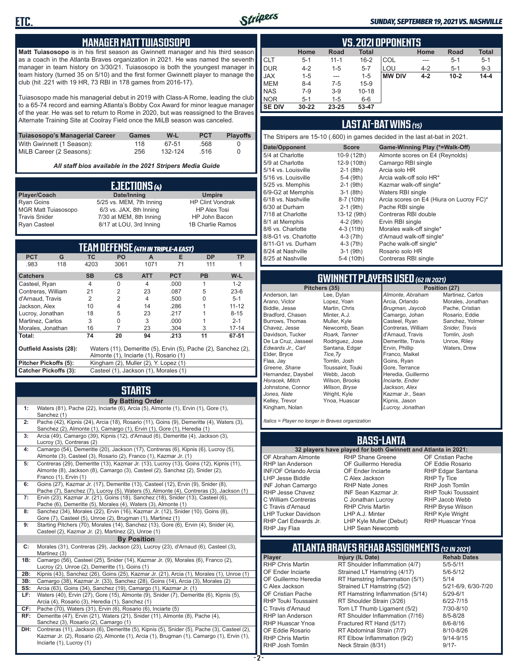

### *SUNDAY, SEPTEMBER 19, 2021 VS. NASHVILLE*

### **MANAGER MATT TUIASOSOPO**

**Matt Tuiasosopo** is in his first season as Gwinnett manager and his third season as a coach in the Atlanta Braves organization in 2021. He was named the seventh manager in team history on 3/30/21. Tuiasosopo is both the youngest manager in team history (turned 35 on 5/10) and the first former Gwinnett player to manage the club (hit .221 with 19 HR, 73 RBI in 178 games from 2016-17).

Tuiasosopo made his managerial debut in 2019 with Class-A Rome, leading the club to a 65-74 record and earning Atlanta's Bobby Cox Award for minor league manager of the year. He was set to return to Rome in 2020, but was reassigned to the Braves Alternate Training Site at Coolray Field once the MiLB season was canceled.

| Tuiasosopo's Managerial Career | Games | W-L     | <b>PCT</b> | <b>Plavoffs</b> |
|--------------------------------|-------|---------|------------|-----------------|
| With Gwinnett (1 Season):      | 118   | 67-51   | .568       |                 |
| MiLB Career (2 Seasons):       | 256   | 132-124 | .516       |                 |

*All staff bios available in the 2021 Stripers Media Guide*

| EJECTIONS (4)              |                          |                         |  |  |  |
|----------------------------|--------------------------|-------------------------|--|--|--|
| Player/Coach               | Date/Inning              | <b>Umpire</b>           |  |  |  |
| <b>Ryan Goins</b>          | 5/25 vs. MEM, 7th Inning | <b>HP Clint Vondrak</b> |  |  |  |
| <b>MGR Matt Tuiasosopo</b> | 6/3 vs. JAX, 8th Inning  | <b>HP Alex Tosi</b>     |  |  |  |
| <b>Travis Snider</b>       | 7/30 at MEM, 8th Inning  | HP John Bacon           |  |  |  |
| <b>Ryan Casteel</b>        | 8/17 at LOU, 3rd Inning  | 1B Charlie Ramos        |  |  |  |

| TEAM DEFENSE (4TH IN TRIPLE-A EAST)                                                             |                                                                       |                |                |                |            |           |           |
|-------------------------------------------------------------------------------------------------|-----------------------------------------------------------------------|----------------|----------------|----------------|------------|-----------|-----------|
| <b>PCT</b>                                                                                      | G                                                                     | <b>TC</b>      | <b>PO</b>      | A              | Е          | <b>DP</b> | <b>TP</b> |
| .983                                                                                            | 118                                                                   | 4203           | 3061           | 1071           | 71         | 111       |           |
| <b>Catchers</b>                                                                                 |                                                                       | <b>SB</b>      | <b>CS</b>      | <b>ATT</b>     | <b>PCT</b> | <b>PB</b> | $W-L$     |
| Casteel, Ryan                                                                                   |                                                                       | $\overline{4}$ | 0              | $\overline{4}$ | .000       | 1         | $1 - 2$   |
| Contreras, William                                                                              |                                                                       | 21             | $\overline{2}$ | 23             | .087       | 5         | $23-6$    |
| d'Arnaud, Travis                                                                                |                                                                       | 2              | $\overline{2}$ | 4              | .500       | U         | $5 - 1$   |
| Jackson, Alex<br>10<br>4<br>14<br>.286                                                          |                                                                       |                |                | $11 - 12$      |            |           |           |
| Lucroy, Jonathan<br>18<br>5<br>23<br>.217                                                       |                                                                       |                |                |                | $8 - 15$   |           |           |
| Martinez, Carlos                                                                                |                                                                       | 3              | 0              | 3              | .000       |           | $2 - 1$   |
| Morales, Jonathan                                                                               |                                                                       | 16             | 7              | 23             | .304       | 3         | $17 - 14$ |
| Total:                                                                                          |                                                                       | 74             | 20             | 94             | .213       | 11        | 67-51     |
| Waters (11), Demeritte (5), Ervin (5), Pache (2), Sanchez (2),<br><b>Outfield Assists (28):</b> |                                                                       |                |                |                |            |           |           |
|                                                                                                 | Almonte (1), Inciarte (1), Rosario (1)                                |                |                |                |            |           |           |
|                                                                                                 | Pitcher Pickoffs (5):<br>Kingham (2), Muller (2), Y. Lopez (1)        |                |                |                |            |           |           |
|                                                                                                 | <b>Catcher Pickoffs (3):</b><br>Casteel (1), Jackson (1), Morales (1) |                |                |                |            |           |           |

# **STARTS**

|     | <b>By Batting Order</b>                                                                                                                                                                                              |
|-----|----------------------------------------------------------------------------------------------------------------------------------------------------------------------------------------------------------------------|
| 1:  | Waters (81), Pache (22), Inciarte (6), Arcia (5), Almonte (1), Ervin (1), Gore (1),<br>Sanchez (1)                                                                                                                   |
| 2:  | Pache (42), Kipnis (24), Arcia (18), Rosario (11), Goins (9), Demeritte (4), Waters (3),<br>Sanchez (2), Almonte (1), Camargo (1), Ervin (1), Gore (1), Heredia (1)                                                  |
| 3:  | Arcia (49), Camargo (39), Kipnis (12), d'Arnaud (6), Demeritte (4), Jackson (3),<br>Lucroy (3), Contreras (2)                                                                                                        |
| 4:  | Camargo (54), Demeritte (20), Jackson (17), Contreras (6), Kipnis (6), Lucroy (5),<br>Almonte (3), Casteel (3), Rosario (2), Franco (1), Kazmar Jr. (1)                                                              |
| 5:  | Contreras (29), Demeritte (13), Kazmar Jr. (13), Lucroy (13), Goins (12), Kipnis (11),<br>Almonte (8), Jackson (8), Camargo (3), Casteel (2), Sanchez (2), Snider (2),<br>Franco (1), Ervin (1)                      |
| 6:  | Goins (27), Kazmar Jr. (17), Demeritte (13), Casteel (12), Ervin (9), Snider (8),<br>Pache (7), Sanchez (7), Lucroy (5), Waters (5), Almonte (4), Contreras (3), Jackson (1)                                         |
| 7:  | Ervin (23), Kazmar Jr. (21), Goins (18), Sanchez (18), Snider (13), Casteel (6),<br>Pache (6), Demeritte (5), Morales (4), Waters (3), Almonte (1)                                                                   |
| 8:  | Sanchez (34), Morales (22), Ervin (16), Kazmar Jr. (12), Snider (10), Goins (8),<br>Gore (7), Casteel (5), Unroe (2), Brugman (1), Martinez (1)                                                                      |
| 9:  | Starting Pitchers (70), Morales (14), Sanchez (13), Gore (6), Ervin (4), Snider (4),<br>Casteel (2), Kazmar Jr. (2), Martinez (2), Unroe (1)                                                                         |
|     | <b>By Position</b>                                                                                                                                                                                                   |
| C:  | Morales (31), Contreras (29), Jackson (23), Lucroy (23), d'Arnaud (6), Casteel (3),<br>Martinez (3)                                                                                                                  |
| 1B: | Camargo (56), Casteel (25), Snider (14), Kazmar Jr. (9), Morales (6), Franco (2),<br>Lucroy (2), Unroe (2), Demeritte (1), Goins (1)                                                                                 |
| 2B: | Kipnis (43), Sanchez (26), Goins (25), Kazmar Jr. (21), Arcia (1), Morales (1), Unroe (1)                                                                                                                            |
| 3B: | Camargo (38), Kazmar Jr. (33), Sanchez (28), Goins (14), Arcia (3), Morales (2)                                                                                                                                      |
| SS: | Arcia (63), Goins (34), Sanchez (19), Camargo (1), Kazmar Jr. (1)                                                                                                                                                    |
| LF: | Waters (40), Ervin (27), Gore (15), Almonte (9), Snider (7), Demeritte (6), Kipnis (5),<br>Arcia (4), Rosario (3), Heredia (1), Sanchez (1)                                                                          |
| CF: | Pache (70), Waters (31), Ervin (6), Rosario (6), Inciarte (5)                                                                                                                                                        |
| RF: | Demeritte (47), Ervin (21), Waters (21), Snider (11), Almonte (8), Pache (4),<br>Sanchez (3), Rosario (2), Camargo (1)                                                                                               |
| DH: | Contreras (11), Jackson (6), Demeritte (5), Kipnis (5), Snider (5), Pache (3), Casteel (2),<br>Kazmar Jr. (2), Rosario (2), Almonte (1), Arcia (1), Brugman (1), Camargo (1), Ervin (1),<br>Inciarte (1), Lucroy (1) |

|               | <b>VS. 2021 OPPONENTS</b> |             |              |               |         |          |              |  |  |  |  |  |  |
|---------------|---------------------------|-------------|--------------|---------------|---------|----------|--------------|--|--|--|--|--|--|
|               | Home                      | <b>Road</b> | <b>Total</b> |               | Home    | Road     | <b>Total</b> |  |  |  |  |  |  |
| <b>CLT</b>    | $5 - 1$                   | $11 - 1$    | $16 - 2$     | COL           | ---     | $5 - 1$  | $5 - 1$      |  |  |  |  |  |  |
| <b>DUR</b>    | $4 - 2$                   | $1 - 5$     | $5 - 7$      | LOU           | $4 - 2$ | $5 - 1$  | $9 - 3$      |  |  |  |  |  |  |
| <b>JAX</b>    | $1 - 5$                   | $- - -$     | $1 - 5$      | <b>MW DIV</b> | $4 - 2$ | $10 - 2$ | $14 - 4$     |  |  |  |  |  |  |
| <b>MEM</b>    | $8 - 4$                   | $7-5$       | $15-9$       |               |         |          |              |  |  |  |  |  |  |
| <b>NAS</b>    | $7-9$                     | $3-9$       | $10 - 18$    |               |         |          |              |  |  |  |  |  |  |
| <b>NOR</b>    | $5-1$                     | $1 - 5$     | $6-6$        |               |         |          |              |  |  |  |  |  |  |
| <b>SE DIV</b> | $30 - 22$                 | 23-25       | 53-47        |               |         |          |              |  |  |  |  |  |  |

### **LAST AT-BAT WINS** *(15)*

The Stripers are 15-10 (.600) in games decided in the last at-bat in 2021.

| Date/Opponent        | <b>Score</b> | Game-Winning Play (*=Walk-Off)           |
|----------------------|--------------|------------------------------------------|
| 5/4 at Charlotte     | 10-9 (12th)  | Almonte scores on E4 (Reynolds)          |
| 5/9 at Charlotte     | 12-9 (10th)  | Camargo RBI single                       |
| 5/14 vs. Louisville  | $2-1$ (8th)  | Arcia solo HR                            |
| 5/16 vs. Louisville  | $5-4$ (9th)  | Arcia walk-off solo HR*                  |
| 5/25 vs. Memphis     | $2-1$ (9th)  | Kazmar walk-off single*                  |
| 6/9-G2 at Memphis    | $3-1$ (8th)  | Waters RBI single                        |
| 6/18 vs. Nashville   | 8-7 (10th)   | Arcia scores on E4 (Hiura on Lucroy FC)* |
| 6/30 at Durham       | $2-1$ (9th)  | Pache RBI single                         |
| 7/18 at Charlotte    | 13-12 (9th)  | Contreras RBI double                     |
| 8/1 at Memphis       | $4-2$ (9th)  | Ervin RBI single                         |
| 8/6 vs. Charlotte    | 4-3 (11th)   | Morales walk-off single*                 |
| 8/8-G1 vs. Charlotte | $4-3(7th)$   | d'Arnaud walk-off single*                |
| 8/11-G1 vs. Durham   | $4-3(7th)$   | Pache walk-off single*                   |
| 8/24 at Nashville    | $3-1$ (9th)  | Rosario solo HR                          |
| 8/25 at Nashville    | 5-4 (10th)   | Contreras RBI single                     |
|                      |              |                                          |

# **GWINNETT PLAYERS USED** *(62 IN 2021)*

Anderson, Ian Arano, Victor Biddle, Jesse Bradford, Chasen Burrows, Thomas Chavez, Jesse Davidson, Tucker De La Cruz, Jasseel *Edwards Jr., Carl* Elder, Bryce Flaa, Jay *Greene, Shane*  Hernandez, Daysbel *Horacek, Mitch* Johnstone, Connor *Jones, Nate* Kelley, Trevor

Kingham, Nolan

Lee, Dylan Lopez, Yoan Martin, Chris Minter, A.J. Muller, Kyle Newcomb, Sean *Roark, Tanner* Rodriguez, Jose Santana, Edgar *Tice,Ty* Tomlin, Josh Toussaint, Touki Webb, Jacob Wilson, Brooks *Wilson, Bryse* Wright, Kyle Ynoa, Huascar

**Position (27)** *Almonte, Abraham* Arcia, Orlando *Brugman, Jaycob* Camargo, Johan Casteel, Ryan Contreras, William d'Arnaud, Travis Demeritte, Travis Ervin, Phillip Franco, Maikel Goins, Ryan Gore, Terrance Heredia, Guillermo *Inciarte, Ender Jackson, Alex* Kazmar Jr., Sean Kipnis, Jason *Lucroy, Jonathan*

Martinez, Carlos Morales, Jonathan Pache, Cristian Rosario, Eddie Sanchez, Yolmer *Snider, Travis* Tomlin, Josh Unroe, Riley Waters, Drew

*Italics = Player no longer in Braves organization*

### **BASS-LANTA**

OF Abraham Almonte RHP Ian Anderson INF/OF Orlando Arcia LHP Jesse Biddle INF Johan Camargo RHP Jesse Chavez C William Contreras C Travis d'Arnaud LHP Tucker Davidson RHP Carl Edwards Jr. RHP Jay Flaa

**32 players have played for both Gwinnett and Atlanta in 2021:** RHP Shane Greene OF Guillermo Heredia OF Ender Inciarte C Alex Jackson RHP Nate Jones INF Sean Kazmar Jr. C Jonathan Lucroy RHP Chris Martin LHP A.J. Minter LHP Kyle Muller (Debut) LHP Sean Newcomb

OF Cristian Pache OF Eddie Rosario RHP Edgar Santana RHP Ty Tice RHP Josh Tomlin RHP Touki Toussaint RHP Jacob Webb RHP Bryse Wilson RHP Kyle Wright RHP Huascar Ynoa

# **ATLANTA BRAVES REHAB ASSIGNMENTS** *(12 IN 2021)*

**Player Injury (IL Date)** RHP Chris Martin RT Shoulder Inflammation (4/7) 5/5-5/11<br>OF Ender Inciarte Strained LT Hamstring (4/17) 5/6-5/12 OF Ender Inciarte Strained LT Hamstring (4/17)<br>OF Guillermo Heredia RT Hamstring Inflammation (5) RT Hamstring Inflammation  $(5/1)$  5/14<br>Strained LT Hamstring  $(5/2)$  5/21-6/9, 6/30-7/20 C Alex Jackson Strained LT Hamstring (5/2) 5/21-6/9<br>CF Cristian Pache RT Hamstring Inflammation (5/14) 5/29-6/1 OF Cristian Pache RT Hamstring Inflammation (5/14) 5/29-6/1<br>RHP Touki Toussaint RT Shoulder Strain (3/26) 6/22-7/15 RHP Touki Toussaint RT Shoulder Strain (3/26) 6/22-7/15 Torn LT Thumb Ligament (5/2) 7/30-8/10 RHP Ian Anderson RT Shoulder Inflammation (7/16) 8/5-8/28<br>RHP Huascar Ynoa Fractured RT Hand (5/17) 8/6-8/16 RHP Huascar Ynoa Fractured RT Hand (5/17) 8/6-8/16<br>OF Eddie Rosario RT Abdominal Strain (7/7) 8/10-8/26 OF Eddie Rosario RT Abdominal Strain (7/7)<br>RHP Chris Martin RT Flbow Inflammation (9 RHP Chris Martin RT Elbow Inflammation (9/2) 9/14-9/15 Neck Strain (8/31)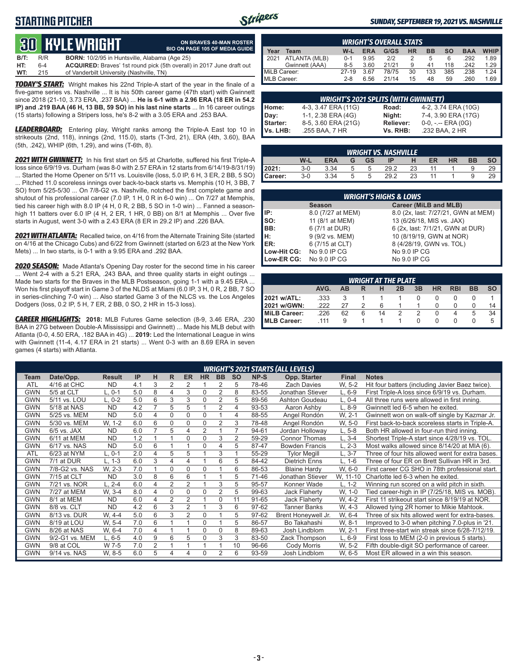## **STARTING PITCHER**



### *SUNDAY, SEPTEMBER 19, 2021 VS. NASHVILLE*

# **30****KYLE WRIGHT**

|                 | ON BRAVES 40-MAN ROSTER               |
|-----------------|---------------------------------------|
|                 | <b>BIO ON PAGE 105 OF MEDIA GUIDE</b> |
| abama (Age 25). |                                       |

**B/T:** R/R **BORN:** 10/2/95 in Huntsville, Al **HT:** 6-4 **ACQUIRED:** Braves' 1st round pick (5th overall) in 2017 June draft out **WT:** 215 of Vanderbilt University (Nashville, TN) of Vanderbilt University (Nashville, TN)

*TODAY'S START:* Wright makes his 22nd Triple-A start of the year in the finale of a five-game series vs. Nashville ... It is his 50th career game (47th start) with Gwinnett since 2018 (21-10, 3.73 ERA, .237 BAA) ... **He is 6-1 with a 2.96 ERA (18 ER in 54.2 IP) and .219 BAA (46 H, 13 BB, 59 SO) in his last nine starts** ... In 16 career outings (15 starts) following a Stripers loss, he's 8-2 with a 3.05 ERA and .253 BAA.

*LEADERBOARD:* Entering play, Wright ranks among the Triple-A East top 10 in strikeouts (2nd, 118), innings (2nd, 115.0), starts (T-3rd, 21), ERA (4th, 3.60), BAA (5th, .242), WHIP (6th, 1.29), and wins (T-6th, 8).

*2021 WITH GWINNETT:* In his first start on 5/5 at Charlotte, suffered his first Triple-A loss since 6/9/19 vs. Durham (was 8-0 with 2.57 ERA in 12 starts from 6/14/19-8/31/19) ... Started the Home Opener on 5/11 vs. Louisville (loss, 5.0 IP, 6 H, 3 ER, 2 BB, 5 SO) ... Pitched 11.0 scoreless innings over back-to-back starts vs. Memphis (10 H, 3 BB, 7 SO) from 5/25-5/30 ... On 7/8-G2 vs. Nashville, notched the first complete game and shutout of his professional career (7.0 IP, 1 H, 0 R in 6-0 win) ... On 7/27 at Memphis, tied his career high with 8.0 IP (4 H, 0 R, 2 BB, 5 SO in 1-0 win) ... Fanned a seasonhigh 11 batters over 6.0 IP (4 H, 2 ER, 1 HR, 0 BB) on 8/1 at Memphis ... Over five starts in August, went 3-0 with a 2.43 ERA (8 ER in 29.2 IP) and .226 BAA.

*2021 WITH ATLANTA:* Recalled twice, on 4/16 from the Alternate Training Site (started on 4/16 at the Chicago Cubs) and 6/22 from Gwinnett (started on 6/23 at the New York Mets) ... In two starts, is 0-1 with a 9.95 ERA and .292 BAA.

*2020 SEASON:* Made Atlanta's Opening Day roster for the second time in his career ... Went 2-4 with a 5.21 ERA, .243 BAA, and three quality starts in eight outings ... Made two starts for the Braves in the MLB Postseason, going 1-1 with a 9.45 ERA ... Won his first playoff start in Game 3 of the NLDS at Miami (6.0 IP, 3 H, 0 R, 2 BB, 7 SO in series-clinching 7-0 win) ... Also started Game 3 of the NLCS vs. the Los Angeles Dodgers (loss, 0.2 IP, 5 H, 7 ER, 2 BB, 0 SO, 2 HR in 15-3 loss).

*CAREER HIGHLIGHTS:* **2018:** MLB Futures Game selection (8-9, 3.46 ERA, .230 BAA in 27G between Double-A Mississippi and Gwinnett) ... Made his MLB debut with Atlanta (0-0, 4.50 ERA, .182 BAA in 4G) ... **2019:** Led the International League in wins with Gwinnett (11-4, 4.17 ERA in 21 starts) ... Went 0-3 with an 8.69 ERA in seven games (4 starts) with Atlanta.

|                     | <b>WRIGHT'S OVERALL STATS</b> |         |            |       |           |           |     |            |             |  |  |  |  |
|---------------------|-------------------------------|---------|------------|-------|-----------|-----------|-----|------------|-------------|--|--|--|--|
| Year                | Team                          | W-L     | <b>ERA</b> | G/GS  | <b>HR</b> | <b>BB</b> | so  | <b>BAA</b> | <b>WHIP</b> |  |  |  |  |
| $\blacksquare$ 2021 | ATLANTA (MLB)                 | $0 - 1$ | 9.95       | 212   |           | 5         | 6   | .292       | 1.89        |  |  |  |  |
|                     | Gwinnett (AAA)                | $8-5$   | 3.60       | 21/21 | 9         | 41        | 118 | .242       | 1.29        |  |  |  |  |
| MiLB Career:        |                               | $27-19$ | 3.67       | 78/75 | 30        | 133       | 385 | .238       | 1.24        |  |  |  |  |
| MLB Career:         |                               | $2 - 8$ | 6.56       | 21/14 | 15        | 48        | 59  | .260       | 1.69        |  |  |  |  |

|                 | <b>WRIGHT'S 2021 SPLITS (WITH GWINNETT)</b> |           |                       |  |  |  |  |  |  |  |  |
|-----------------|---------------------------------------------|-----------|-----------------------|--|--|--|--|--|--|--|--|
| Home:           | 4-3, 3.47 ERA (11G)                         | Road:     | 4-2, 3.74 ERA (10G)   |  |  |  |  |  |  |  |  |
| Day:            | 1-1, 2.38 ERA (4G)                          | Night:    | 7-4, 3.90 ERA (17G)   |  |  |  |  |  |  |  |  |
| <b>Starter:</b> | 8-5, 3.60 ERA (21G)                         | Reliever: | $0-0, - -$ ERA $(0G)$ |  |  |  |  |  |  |  |  |
| Vs. LHB:        | .255 BAA, 7 HR                              | Vs. RHB:  | .232 BAA, 2 HR        |  |  |  |  |  |  |  |  |

|         | <b>WRIGHT VS. NASHVILLE</b> |            |   |    |      |    |    |    |           |  |  |  |  |
|---------|-----------------------------|------------|---|----|------|----|----|----|-----------|--|--|--|--|
|         | W-L                         | <b>ERA</b> | G | GS | ID   |    | ER | HR | <b>BB</b> |  |  |  |  |
| 2021:   | $3-0$                       | 3.34       | ∽ | 5  | 29.2 | 23 |    |    |           |  |  |  |  |
| Career: | $3-0$                       | 3.34       | 5 | 5  | 29.2 | 23 |    |    |           |  |  |  |  |

|                          | <b>WRIGHT'S HIGHS &amp; LOWS</b> |                                     |  |  |  |  |  |  |  |  |  |
|--------------------------|----------------------------------|-------------------------------------|--|--|--|--|--|--|--|--|--|
|                          | <b>Season</b>                    | Career (MiLB and MLB)               |  |  |  |  |  |  |  |  |  |
| IIP:                     | 8.0 (7/27 at MEM)                | 8.0 (2x, last: 7/27/21, GWN at MEM) |  |  |  |  |  |  |  |  |  |
| $\mathsf{Iso}:$          | 11 (8/1 at MEM)                  | 13 (6/26/18, MIS vs. JAX)           |  |  |  |  |  |  |  |  |  |
| IBB:                     | 6 (7/1 at DUR)                   | 6 (2x, last: 7/1/21, GWN at DUR)    |  |  |  |  |  |  |  |  |  |
| IH:                      | 9 (9/2 vs. MEM)                  | 10 (8/19/19, GWN at NOR)            |  |  |  |  |  |  |  |  |  |
| ER:                      | 6 (7/15 at CLT)                  | 8 (4/28/19, GWN vs. TOL)            |  |  |  |  |  |  |  |  |  |
| Low-Hit CG: No 9.0 IP CG |                                  | No 9.0 IP CG                        |  |  |  |  |  |  |  |  |  |
| Low-ER CG:               | No 9.0 IP CG                     | No 9.0 IP CG                        |  |  |  |  |  |  |  |  |  |

| <b>WRIGHT AT THE PLATE</b>                             |      |    |   |    |  |   |   |  |   |    |  |  |
|--------------------------------------------------------|------|----|---|----|--|---|---|--|---|----|--|--|
| AVG.<br>HR<br><b>RBI</b><br>BB<br>3B<br>2B<br>AВ<br>SO |      |    |   |    |  |   |   |  |   |    |  |  |
| 2021 w/ATL:                                            | .333 |    |   |    |  |   |   |  |   |    |  |  |
| 2021 w/GWN:                                            | 222  | 27 |   | 6  |  |   |   |  |   | 14 |  |  |
| MiLB Career:                                           | 226  | 62 | 6 | 14 |  | 2 | U |  | 5 | 34 |  |  |
| <b>IMLB Career:</b>                                    | .111 | 9  |   |    |  |   |   |  |   |    |  |  |

|            | <b>WRIGHT'S 2021 STARTS (ALL LEVELS)</b> |               |     |                |                |                |           |                |           |       |                       |              |                                                  |  |
|------------|------------------------------------------|---------------|-----|----------------|----------------|----------------|-----------|----------------|-----------|-------|-----------------------|--------------|--------------------------------------------------|--|
| Team       | Date/Opp.                                | <b>Result</b> | IP  | н              | R              | <b>ER</b>      | <b>HR</b> | <b>BB</b>      | <b>SO</b> | NP-S  | Opp. Starter          | <b>Final</b> | <b>Notes</b>                                     |  |
| ATL        | 4/16 at CHC                              | <b>ND</b>     | 4.1 | 3              | 2              | 2              |           | 2              | 5         | 78-46 | <b>Zach Davies</b>    | W. 5-2       | Hit four batters (including Javier Baez twice).  |  |
| <b>GWN</b> | 5/5 at CLT                               | L. 0-1        | 5.0 | 8              | 4              | 3              | 0         | 2              | 8         | 83-55 | Jonathan Stiever      | $L, 6-9$     | First Triple-A loss since 6/9/19 vs. Durham.     |  |
| <b>GWN</b> | 5/11 vs. LOU                             | L. 0-2        | 5.0 | 6              | 3              | 3              | 0         | 2              | 5         | 89-56 | Ashton Goudeau        | $L. 0-4$     | All three runs were allowed in first inning.     |  |
| <b>GWN</b> | 5/18 at NAS                              | <b>ND</b>     | 4.2 | $\overline{7}$ | 5              | 5              |           | $\overline{2}$ | 4         | 93-53 | Aaron Ashby           | $L, 8-9$     | Gwinnett led 6-5 when he exited.                 |  |
| <b>GWN</b> | 5/25 vs. MEM                             | <b>ND</b>     | 5.0 | 4              | 0              | 0              | 0         |                | 4         | 88-55 | Angel Rondón          | W. 2-1       | Gwinnett won on walk-off single by Kazmar Jr.    |  |
| <b>GWN</b> | 5/30 vs. MEM                             | W. 1-2        | 6.0 | 6              | 0              | 0              | 0         | 2              | 3         | 78-48 | Angel Rondón          | W. 5-0       | First back-to-back scoreless starts in Triple-A. |  |
| <b>GWN</b> | $6/5$ vs. JAX                            | <b>ND</b>     | 6.0 | $\overline{ }$ | 5              | 4              | 2         |                |           | 94-61 | Jordan Holloway       | L, 5-8       | Both HR allowed in four-run third inning.        |  |
| <b>GWN</b> | 6/11 at MEM                              | <b>ND</b>     | 1.2 |                |                | 0              | 0         | 3              | 2         | 59-29 | <b>Connor Thomas</b>  | $L.3-4$      | Shortest Triple-A start since 4/28/19 vs. TOL.   |  |
| <b>GWN</b> | 6/17 vs. NAS                             | <b>ND</b>     | 5.0 | 6              |                |                | 0         | 4              | 5         | 87-47 | <b>Bowden Francis</b> | $L, 2-3$     | Most walks allowed since 8/14/20 at MIA (6).     |  |
| <b>ATL</b> | 6/23 at NYM                              | L. 0-1        | 2.0 | 4              | 5              | 5              |           | 3              |           | 55-29 | <b>Tylor Megill</b>   | $L, 3-7$     | Three of four hits allowed went for extra bases. |  |
| <b>GWN</b> | 7/1 at DUR                               | L. 1-3        | 6.0 | 3              | 4              | 4              |           | 6              | 5         | 84-42 | <b>Dietrich Enns</b>  | L. 1-6       | Three of four ER on Brett Sullivan HR in 3rd.    |  |
| <b>GWN</b> | 7/8-G2 vs. NAS                           | W. 2-3        | 7.0 |                | 0              | 0              | 0         |                | 6         | 86-53 | <b>Blaine Hardy</b>   | W. 6-0       | First career CG SHO in 78th professional start.  |  |
| <b>GWN</b> | 7/15 at CLT                              | <b>ND</b>     | 3.0 | 8              | 6              | 6              |           |                | 5         | 71-46 | Jonathan Stiever      | W, 11-10     | Charlotte led 6-3 when he exited.                |  |
| <b>GWN</b> | 7/21 vs. NOR                             | $L. 2 - 4$    | 6.0 | 4              | $\overline{2}$ | $\overline{2}$ |           | 3              | 5         | 95-57 | Konner Wade           | $L. 1-2$     | Winning run scored on a wild pitch in sixth.     |  |
| <b>GWN</b> | 7/27 at MEM                              | W. 3-4        | 8.0 | 4              | 0              | $\Omega$       | 0         | 2              | 5         | 99-63 | Jack Flaherty         | W, 1-0       | Tied career-high in IP (7/25/18, MIS vs. MOB).   |  |
| <b>GWN</b> | 8/1 at MEM                               | <b>ND</b>     | 6.0 | 4              | 2              | $\overline{2}$ |           | $\Omega$       | 11        | 91-65 | Jack Flaherty         | W. 4-2       | First 11 strikeout start since 8/19/19 at NOR.   |  |
| <b>GWN</b> | 8/8 vs. CLT                              | <b>ND</b>     | 4.2 | 6              | 3              | $\overline{2}$ |           | 3              | 6         | 97-62 | <b>Tanner Banks</b>   | W. 4-3       | Allowed tying 2R homer to Mikie Mahtook.         |  |
| <b>GWN</b> | 8/13 vs. DUR                             | W. 4-4        | 5.0 | 6              | 3              | 2              | 0         |                | 5         | 97-62 | Brent Honeywell Jr.   | W. 6-4       | Three of six hits allowed went for extra-bases.  |  |
| <b>GWN</b> | 8/19 at LOU                              | W. 5-4        | 7.0 | 6              |                |                | 0         |                | 5         | 86-57 | Bo Takahashi          | W. 8-1       | Improved to 3-0 when pitching 7.0-plus in '21.   |  |
| <b>GWN</b> | 8/26 at NAS                              | W. 6-4        | 7.0 | 4              |                |                | 0         | 0              | 8         | 89-63 | Josh Lindblom         | W. 2-1       | First three-start win streak since 6/28-7/12/19. |  |
| <b>GWN</b> | 9/2-G1 vs. MEM                           | $L, 6-5$      | 4.0 | 9              | 6              | 5              | 0         | 3              | 3         | 83-50 | Zack Thompson         | $L, 6-9$     | First loss to MEM (2-0 in previous 5 starts).    |  |
| <b>GWN</b> | 9/8 at COL                               | W 7-5         | 7.0 | $\overline{2}$ |                |                |           |                | 10        | 96-66 | Cody Morris           | W. 5-2       | Fifth double-digit SO performance of career.     |  |
| <b>GWN</b> | 9/14 vs. NAS                             | W, 8-5        | 6.0 | 5              | 4              | 4              | 0         | $\overline{2}$ | 6         | 93-59 | Josh Lindblom         | W. 6-5       | Most ER allowed in a win this season.            |  |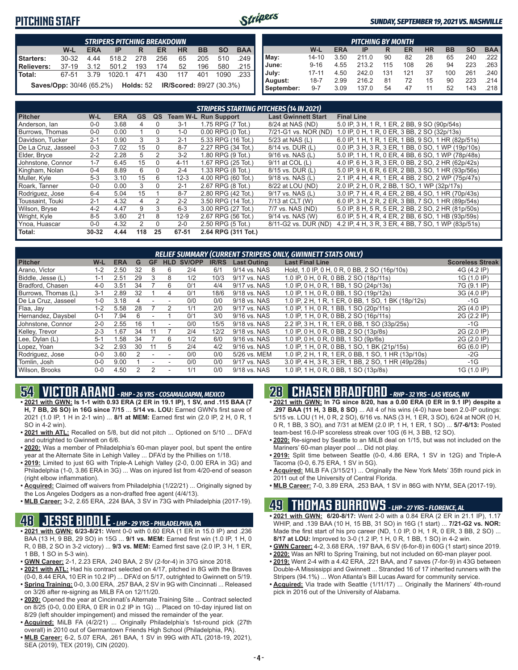## **PITCHING STAFF**



### *SUNDAY, SEPTEMBER 19, 2021 VS. NASHVILLE*

|                                                                                         | <b>STRIPERS PITCHING BREAKDOWN</b> |       |            |     |     |     |     |      |      |  |  |  |  |
|-----------------------------------------------------------------------------------------|------------------------------------|-------|------------|-----|-----|-----|-----|------|------|--|--|--|--|
| W-L<br><b>BB</b><br><b>HR</b><br><b>ERA</b><br><b>BAA</b><br><b>SO</b><br>ER<br>IP<br>R |                                    |       |            |     |     |     |     |      |      |  |  |  |  |
| Starters:                                                                               | $30 - 32$                          | 4 4 4 | 518.2      | 278 | 256 | 65  | 205 | 510  | .249 |  |  |  |  |
| Relievers:                                                                              | 37-19                              | 3.12  | 501.2      | 193 | 174 | 52  | 196 | 580  | .215 |  |  |  |  |
| l Total:                                                                                | 67-51                              | 3.79  | 1020.1 471 |     | 430 | 117 | 401 | 1090 | .233 |  |  |  |  |
| <b>Saves/Opp:</b> 30/46 (65.2%) Holds: 52 IR/Scored: 89/27 (30.3%)                      |                                    |       |            |     |     |     |     |      |      |  |  |  |  |

|            | <b>PITCHING BY MONTH</b> |            |       |     |     |           |           |           |                       |  |  |  |  |
|------------|--------------------------|------------|-------|-----|-----|-----------|-----------|-----------|-----------------------|--|--|--|--|
|            | W-L                      | <b>ERA</b> | IP    | R   | ER  | <b>HR</b> | <b>BB</b> | <b>SO</b> | <b>BAA</b>            |  |  |  |  |
| May:       | $14 - 10$                | 3.50       | 211.0 | 90  | 82  | 28        | 65        | 240       | .222 I                |  |  |  |  |
| June:      | $9 - 16$                 | 4.55       | 213.2 | 115 | 108 | 26        | 94        | 223       | $.263$ $\blacksquare$ |  |  |  |  |
| July:      | $17 - 11$                | 4.50       | 242.0 | 131 | 121 | 37        | 100       | 261       | .240                  |  |  |  |  |
| August:    | $18 - 7$                 | 2.99       | 216.2 | 81  | 72  | 15        | 90        | 223       | $.214$ $\blacksquare$ |  |  |  |  |
| September: | $9 - 7$                  | 3.09       | 137.0 | 54  | 47  | 11        | 52        | 143       | .218 I                |  |  |  |  |

|                     |           |            |                |               |          | <b>STRIPERS STARTING PITCHERS (14 IN 2021)</b> |                            |                                                    |
|---------------------|-----------|------------|----------------|---------------|----------|------------------------------------------------|----------------------------|----------------------------------------------------|
| <b>Pitcher</b>      | W-L       | <b>ERA</b> | <b>GS</b>      | QS            |          | <b>Team W-L Run Support</b>                    | <b>Last Gwinnett Start</b> | <b>Final Line</b>                                  |
| Anderson, lan       | $0 - 0$   | 3.68       | 4              | 0             | $3 - 1$  | 1.75 RPG (7 Tot.)                              | 8/24 at NAS (ND)           | 5.0 IP, 3 H, 1 R, 1 ER, 2 BB, 9 SO (90p/54s)       |
| Burrows, Thomas     | $0 - 0$   | 0.00       |                | $\Omega$      | $1 - 0$  | $0.00$ RPG $(0$ Tot.)                          | 7/21-G1 vs. NOR (ND)       | 1.0 IP, 0 H, 1 R, 0 ER, 3 BB, 2 SO (32p/13s)       |
| Davidson, Tucker    | $2 - 1$   | 0.90       | 3              | 3             | $2 - 1$  | 5.33 RPG (16 Tot.)                             | 5/23 at NAS (L)            | 6.0 IP, 1 H, 1 R, 1 ER, 1 BB, 9 SO, 1 HR (82p/51s) |
| De La Cruz, Jasseel | $0 - 3$   | 7.02       | 15             | $\Omega$      | $8 - 7$  | 2.27 RPG (34 Tot.)                             | 8/14 vs. DUR (L)           | 0.0 IP, 3 H, 3 R, 3 ER, 1 BB, 0 SO, 1 WP (19p/10s) |
| Elder, Bryce        | $2 - 2$   | 2.28       | 5              | 2             | $3 - 2$  | 1.80 RPG (9 Tot.)                              | $9/16$ vs. NAS (L)         | 5.0 IP, 1 H, 1 R, 0 ER, 4 BB, 6 SO, 1 WP (78p/48s) |
| Johnstone, Connor   | $1 - 7$   | 6.45       | 15             | $\Omega$      | $4 - 11$ | 1.67 RPG (25 Tot.)                             | 9/11 at COL (L)            | 4.0 IP, 6 H, 3 R, 3 ER, 0 BB, 2 SO, 2 HR (62p/42s) |
| Kingham, Nolan      | $0 - 4$   | 8.89       | 6              | $\Omega$      | $2 - 4$  | 1.33 RPG (8 Tot.)                              | 8/15 vs. DUR (L)           | 5.0 IP, 9 H, 6 R, 6 ER, 2 BB, 3 SO, 1 HR (93p/56s) |
| Muller, Kyle        | $5-3$     | 3.10       | 15             | 6             | $12 - 3$ | 4.00 RPG (60 Tot.)                             | 9/18 vs. NAS (L)           | 2.1 IP, 4 H, 4 R, 1 ER, 4 BB, 2 SO, 2 WP (75p/47s) |
| Roark, Tanner       | $0-0$     | 0.00       | 3              | $\Omega$      | $2 - 1$  | 2.67 RPG (8 Tot.)                              | 8/22 at LOU (ND)           | 2.0 IP, 2 H, 0 R, 2 BB, 1 SO, 1 WP (32p/17s)       |
| Rodriguez, Jose     | $6 - 4$   | 5.04       | 15             |               | $8 - 7$  | 2.80 RPG (42 Tot.)                             | 9/17 vs. NAS (L)           | 3.0 IP, 7 H, 4 R, 4 ER, 2 BB, 4 SO, 1 HR (70p/43s) |
| Toussaint. Touki    | $2 - 1$   | 4.32       | $\overline{4}$ | $\mathcal{P}$ | $2 - 2$  | 3.50 RPG (14 Tot.)                             | 7/13 at CLT (W)            | 6.0 IP, 3 H, 2 R, 2 ER, 3 BB, 7 SO, 1 HR (89p/54s) |
| Wilson, Bryse       | $4 - 2$   | 4.47       | 9              | 3             | $6 - 3$  | 3.00 RPG (27 Tot.)                             | 7/7 vs. NAS (ND)           | 5.0 IP, 8 H, 5 R, 5 ER, 2 BB, 2 SO, 2 HR (81p/50s) |
| Wright, Kyle        | $8 - 5$   | 3.60       | 21             | 8             | $12-9$   | 2.67 RPG (56 Tot.)                             | 9/14 vs. NAS (W)           | 6.0 IP, 5 H, 4 R, 4 ER, 2 BB, 6 SO, 1 HB (93p/59s) |
| Ynoa, Huascar       | $0-0$     | 4.32       | 2              | $\Omega$      | $2 - 0$  | 2.50 RPG (5 Tot.)                              | 8/11-G2 vs. DUR (ND)       | 4.2 IP, 4 H, 3 R, 3 ER, 4 BB, 7 SO, 1 WP (83p/51s) |
| Total:              | $30 - 32$ | 4.44       | 118            | 25            | 67-51    | 2.64 RPG (311 Tot.)                            |                            |                                                    |

|                     |         |            |    |           |                          |        |              |                    | RELIEF SUMMARY (CURRENT STRIPERS ONLY, GWINNETT STATS ONLY) |                         |
|---------------------|---------|------------|----|-----------|--------------------------|--------|--------------|--------------------|-------------------------------------------------------------|-------------------------|
| <b>Pitcher</b>      | W-L     | <b>ERA</b> | G  | <b>GF</b> | <b>HLD</b>               | SV/OPP | <b>IR/RS</b> | <b>Last Outing</b> | <b>Last Final Line</b>                                      | <b>Scoreless Streak</b> |
| Arano, Victor       | $1 - 2$ | 2.50       | 32 | 8         | 6                        | 2/4    | 6/1          | 9/14 vs. NAS       | Hold, 1.0 IP, 0 H, 0 R, 0 BB, 2 SO (16p/10s)                | 4G (4.2 IP)             |
| Biddle, Jesse (L)   | $1 - 1$ | 2.51       | 29 | 3         | 8                        | 1/2    | 10/3         | 9/17 vs. NAS       | 1.0 IP, 0 H, 0 R, 0 BB, 2 SO (18p/11s)                      | 1G (1.0 IP)             |
| Bradford, Chasen    | $4 - 0$ | 3.51       | 34 |           | 6                        | 0/1    | 4/4          | 9/17 vs. NAS       | 1.0 IP, 0 H, 0 R, 1 BB, 1 SO (24p/13s)                      | 7G (9.1 IP)             |
| Burrows, Thomas (L) | $3 - 1$ | 2.89       | 32 |           | 4                        | 0/1    | 18/6         | 9/18 vs. NAS       | 1.0 IP, 1 H, 0 R, 0 BB, 1 SO (19p/12s)                      | 3G (4.0 IP)             |
| De La Cruz, Jasseel | $1 - 0$ | 3.18       |    |           |                          | 0/0    | 0/0          | 9/18 vs. NAS       | 1.0 IP, 2 H, 1 R, 1 ER, 0 BB, 1 SO, 1 BK (18p/12s)          | -1G                     |
| Flaa, Jay           | $1 - 2$ | 5.58       | 28 |           | 2                        | 1/1    | 2/0          | 9/17 vs. NAS       | 1.0 IP, 1 H, 0 R, 1 BB, 1 SO (20p/11s)                      | 2G (4.0 IP)             |
| Hernandez, Daysbel  | $0 - 1$ | 7.94       | h  |           |                          | 0/1    | 3/0          | 9/16 vs. NAS       | 1.0 IP, 1 H, 0 R, 0 BB, 2 SO (16p/11s)                      | 2G (2.2 IP)             |
| Johnstone, Connor   | $2 - 0$ | 2.55       | 16 |           | $\overline{\phantom{a}}$ | 0/0    | 15/5         | 9/18 vs. NAS       | 2.2 IP, 3 H, 1 R, 1 ER, 0 BB, 1 SO (33p/25s)                | $-1G$                   |
| Kelley, Trevor      | $2 - 3$ | .67        | 34 |           |                          | 2/4    | 12/2         | 9/18 vs. NAS       | 1.0 IP, 0 H, 0 R, 0 BB, 2 SO (13p/8s)                       | 2G (2.0 IP)             |
| Lee, Dylan (L)      | $5-1$   | .58        | 34 |           | 6                        | 1/2    | 6/0          | 9/16 vs. NAS       | 1.0 IP, 0 H, 0 R, 0 BB, 1 SO (9p/6s)                        | 2G (2.0 IP)             |
| Lopez, Yoan         | $3 - 2$ | 2.93       | 30 |           | 5                        | 2/4    | 4/2          | 9/16 vs. NAS       | 1.0 IP, 1 H, 0 R, 0 BB, 1 SO, 1 BK (21p/15s)                | 6G (6.0 IP)             |
| Rodriguez, Jose     | $0 - 0$ | 3.60       |    |           | $\overline{\phantom{a}}$ | 0/0    | 0/0          | 5/26 vs. MEM       | 1.0 IP, 2 H, 1 R, 1 ER, 0 BB, 1 SO, 1 HR (13p/10s)          | $-2G$                   |
| Tomlin, Josh        | $0 - 0$ | 9.00       |    |           |                          | 0/0    | 0/0          | 9/17 vs. NAS       | 3.0 IP, 4 H, 3 R, 3 ER, 1 BB, 2 SO, 1 HR (49p/28s)          | $-1G$                   |
| Wilson, Brooks      | $0 - 0$ | 4.50       |    |           |                          | 1/1    | 0/0          | 9/18 vs. NAS       | 1.0 IP, 1 H, 0 R, 0 BB, 1 SO (13p/8s)                       | 1G (1.0 IP)             |

# **54 VICTOR ARANO** *- RHP - 26 YRS - COSAMALOAPAN, MEXICO*

**• 2021 with GWN: Is 1-1 with 0.93 ERA (2 ER in 19.1 IP), 1 SV, and .115 BAA (7 H, 7 BB, 26 SO) in 16G since 7/15** ... **5/14 vs. LOU:** Earned GWN's first save of 2021 (1.0 IP, 1 H in 2-1 win) ... **8/1 at MEM:** Earned first win (2.0 IP, 2 H, 0 R, 1 SO in 4-2 win).

- **• 2021 with ATL:** Recalled on 5/8, but did not pitch ... Optioned on 5/10 ... DFA'd and outrighted to Gwinnett on 6/6.
- **• 2020:** Was a member of Philadelphia's 60-man player pool, but spent the entire year at the Alternate Site in Lehigh Valley ... DFA'd by the Phillies on 1/18.
- **• 2019:** Limited to just 6G with Triple-A Lehigh Valley (2-0, 0.00 ERA in 3G) and Philadelphia (1-0, 3.86 ERA in 3G) ... Was on injured list from 4/20-end of season (right elbow inflammation).
- **• Acquired:** Claimed off waivers from Philadelphia (1/22/21) ... Originally signed by the Los Angeles Dodgers as a non-drafted free agent (4/4/13).
- **• MLB Career:** 3-2, 2.65 ERA, .224 BAA, 3 SV in 73G with Philadelphia (2017-19).

# **48 JESSE BIDDLE** *- LHP - 29 YRS - PHILADELPHIA, PA*

- **• 2021 with GWN: 6/23-8/21:** Went 0-0 with 0.60 ERA (1 ER in 15.0 IP) and .236 BAA (13 H, 9 BB, 29 SO) in 15G ... **9/1 vs. MEM:** Earned first win (1.0 IP, 1 H, 0 R, 0 BB, 2 SO in 3-2 victory) ... **9/3 vs. MEM:** Earned first save (2.0 IP, 3 H, 1 ER, 1 BB, 1 SO in 5-3 win).
- **• GWN Career:** 2-1, 2.23 ERA, .240 BAA, 2 SV (2-for-4) in 37G since 2018.
- **• 2021 with ATL:** Had his contract selected on 4/17, pitched in 8G with the Braves (0-0, 8.44 ERA, 10 ER in 10.2 IP) ... DFA'd on 5/17, outrighted to Gwinnett on 5/19.
- **• Spring Training:** 0-0, 3.00 ERA, .257 BAA, 2 SV in 9G with Cincinnati ... Released on 3/26 after re-signing as MiLB FA on 12/11/20.
- **• 2020:** Opened the year at Cincinnati's Alternate Training Site ... Contract selected on 8/25 (0-0, 0.00 ERA, 0 ER in 0.2 IP in 1G) ... Placed on 10-day injured list on 8/29 (left shoulder impingement) and missed the remainder of the year.
- **• Acquired:** MiLB FA (4/2/21) ... Originally Philadelphia's 1st-round pick (27th overall) in 2010 out of Germantown Friends High School (Philadelphia, PA).
- **• MLB Career:** 6-2, 5.07 ERA, .261 BAA, 1 SV in 99G with ATL (2018-19, 2021), SEA (2019), TEX (2019), CIN (2020).

# **28 CHASEN BRADFORD** *- RHP - 32 YRS - LAS VEGAS, NV*

- **• 2021 with GWN: In 7G since 8/20, has a 0.00 ERA (0 ER in 9.1 IP) despite a .297 BAA (11 H, 3 BB, 8 SO)** ... All 4 of his wins (4-0) have been 2.0-IP outings: 5/15 vs. LOU (1 H, 0 R, 2 SO), 6/16 vs. NAS (3 H, 1 ER, 3 SO), 6/24 at NOR (0 H, 0 R, 1 BB, 3 SO), and 7/31 at MEM (2.0 IP, 1 H, 1 ER, 1 SO) ... **5/7-6/13:** Posted team-best 16.0-IP scoreless streak over 10G (6 H, 3 BB, 12 SO).
- **• 2020:** Re-signed by Seattle to an MiLB deal on 1/15, but was not included on the Mariners' 60-man player pool ... Did not play.
- **• 2019:** Split time between Seattle (0-0, 4.86 ERA, 1 SV in 12G) and Triple-A Tacoma (0-0, 6.75 ERA, 1 SV in 5G).
- **• Acquired:** MiLB FA (3/15/21) ... Originally the New York Mets' 35th round pick in 2011 out of the University of Central Florida.
- **• MLB Career:** 7-0, 3.89 ERA, .253 BAA, 1 SV in 86G with NYM, SEA (2017-19).

# **49 THOMAS BURROWS** *- LHP - 27 YRS - FLORENCE, AL*

- **• 2021 with GWN: 6/20-8/17:** Went 2-0 with a 0.84 ERA (2 ER in 21.1 IP), 1.17 WHIP, and .139 BAA (10 H, 15 BB, 31 SO) in 16G (1 start) ... **7/21-G2 vs. NOR:** Made the first start of his pro career (ND, 1.0 IP, 0 H, 1 R, 0 ER, 3 BB, 2 SO) ... **8/17 at LOU:** Improved to 3-0 (1.2 IP, 1 H, 0 R, 1 BB, 1 SO) in 4-2 win.
- **• GWN Career:** 4-2, 3.68 ERA, .197 BAA, 6 SV (6-for-8) in 60G (1 start) since 2019.
- **• 2020:** Was an NRI to Spring Training, but not included on 60-man player pool.
- **• 2019:** Went 2-4 with a 4.42 ERA, .221 BAA, and 7 saves (7-for-9) in 43G between Double-A Mississippi and Gwinnett ... Stranded 16 of 17 inherited runners with the Stripers (94.1%) ... Won Atlanta's Bill Lucas Award for community service.
- **• Acquired:** Via trade with Seattle (1/11/17) ... Originally the Mariners' 4th-round pick in 2016 out of the University of Alabama.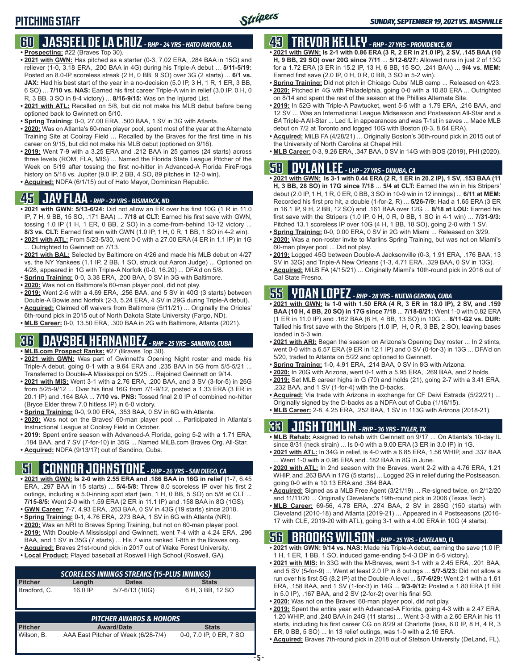### **60 JASSEEL DE LA CRUZ** *- RHP - 24 YRS - HATO MAYOR, D.R.* **• Prospecting:** #22 (Braves Top 30).

- **• 2021 with GWN:** Has pitched as a starter (0-3, 7.02 ERA, .284 BAA in 15G) and reliever (1-0, 3.18 ERA, .200 BAA in 4G) during his Triple-A debut ... **5/11-5/19:** Posted an 8.0-IP scoreless streak (2 H, 0 BB, 9 SO) over 3G (2 starts) ... **6/1 vs. JAX:** Had his best start of the year in a no-decision (5.0 IP, 3 H, 1 R, 1 ER, 3 BB, 6 SO) ... **7/10 vs. NAS:** Earned his first career Triple-A win in relief (3.0 IP, 0 H, 0 R, 3 BB, 3 SO in 8-4 victory) ... **8/16-9/15:** Was on the Injured List.
- **• 2021 with ATL:** Recalled on 5/8, but did not make his MLB debut before being optioned back to Gwinnett on 5/10.
- **• Spring Training:** 0-0, 27.00 ERA, .500 BAA, 1 SV in 3G with Atlanta.
- **• 2020:** Was on Atlanta's 60-man player pool, spent most of the year at the Alternate Training Site at Coolray Field ... Recalled by the Braves for the first time in his career on 9/15, but did not make his MLB debut (optioned on 9/16).
- **• 2019:** Went 7-9 with a 3.25 ERA and .212 BAA in 25 games (24 starts) across three levels (ROM, FLA, MIS) ... Named the Florida State League Pitcher of the Week on 5/19 after tossing the first no-hitter in Advanced-A Florida FireFrogs history on 5/18 vs. Jupiter (9.0 IP, 2 BB, 4 SO, 89 pitches in 12-0 win).
- **• Acquired:** NDFA (6/1/15) out of Hato Mayor, Dominican Republic.

## **45 JAY FLAA** *- RHP - 29 YRS - BISMARCK, ND*

- **• 2021 with GWN: 5/13-6/24:** Did not allow an ER over his first 10G (1 R in 11.0 IP, 7 H, 9 BB, 15 SO, .171 BAA) ... **7/18 at CLT:** Earned his first save with GWN, tossing 1.0 IP (1 H, 1 ER, 0 BB, 2 SO) in a come-from-behind 13-12 victory ... **8/3 vs. CLT:** Earned first win with GWN (1.0 IP, 1 H, 0 R, 1 BB, 1 SO in 4-2 win).
- **• 2021 with ATL:** From 5/23-5/30, went 0-0 with a 27.00 ERA (4 ER in 1.1 IP) in 1G ... Outrighted to Gwinnett on 7/13.
- **• 2021 with BAL:** Selected by Baltimore on 4/26 and made his MLB debut on 4/27 vs. the NY Yankees (1.1 IP, 2 BB, 1 SO, struck out Aaron Judge) ... Optioned on 4/28, appeared in 1G with Triple-A Norfolk (0-0, 16.20) ... DFA'd on 5/8.
- **• Spring Training:** 0-0, 3.38 ERA, .200 BAA, 0 SV in 3G with Baltimore.
- **• 2020:** Was not on Baltimore's 60-man player pool, did not play.
- **• 2019:** Went 2-5 with a 4.69 ERA, .256 BAA, and 5 SV in 40G (3 starts) between Double-A Bowie and Norfolk (2-3, 5.24 ERA, 4 SV in 29G during Triple-A debut).
- **• Acquired:** Claimed off waivers from Baltimore (5/11/21) ... Originally the Orioles' 6th-round pick in 2015 out of North Dakota State University (Fargo, ND).
- **• MLB Career:** 0-0, 13.50 ERA, .300 BAA in 2G with Baltimore, Atlanta (2021).

## **36 DAYSBEL HERNANDEZ** *- RHP - 25 YRS - SANDINO, CUBA*

- **• MLB.com Prospect Ranks:** #27 (Braves Top 30).
- **• 2021 with GWN:** Was part of Gwinnett's Opening Night roster and made his Triple-A debut, going 0-1 with a 9.64 ERA and .235 BAA in 5G from 5/5-5/21 ... Transferred to Double-A Mississippi on 5/25 ... Rejoined Gwinnett on 9/14.
- **• 2021 with MIS:** Went 3-1 with a 2.76 ERA, .200 BAA, and 3 SV (3-for-5) in 26G from 5/25-9/12 ... Over his final 16G from 7/1-9/12, posted a 1.33 ERA (3 ER in 20.1 IP) and .164 BAA ... **7/10 vs. PNS:** Tossed final 2.0 IP of combined no-hitter (Bryce Elder threw 7.0 hitless IP) in 6-0 victory.
- **• Spring Training:** 0-0, 9.00 ERA, .353 BAA, 0 SV in 6G with Atlanta.
- **• 2020:** Was not on the Braves' 60-man player pool ... Participated in Atlanta's Instructional League at Coolray Field in October.
- **• 2019:** Spent entire season with Advanced-A Florida, going 5-2 with a 1.71 ERA, .184 BAA, and 7 SV (7-for-10) in 35G ... Named MiLB.com Braves Org. All-Star.
- **• Acquired:** NDFA (9/13/17) out of Sandino, Cuba.

# **51 CONNOR JOHNSTONE** *- RHP - 26 YRS - SAN DIEGO, CA*

- **• 2021 with GWN: Is 2-0 with 2.55 ERA and .186 BAA in 16G in relief** (1-7, 6.45 ERA, .297 BAA in 15 starts) ... **5/4-5/8:** Threw 8.0 scoreless IP over his first 2 outings, including a 5.0-inning spot start (win, 1 H, 0 BB, 5 SO) on 5/8 at CLT ... **7/15-8/5:** Went 2-0 with 1.59 ERA (2 ER in 11.1 IP) and .158 BAA in 8G (1GS).
- **• GWN Career:** 7-7, 4.93 ERA, .263 BAA, 0 SV in 43G (19 starts) since 2018.
- **• Spring Training:** 0-1, 4.76 ERA, .273 BAA, 1 SV in 6G with Atlanta (NRI).
- **• 2020:** Was an NRI to Braves Spring Training, but not on 60-man player pool.
- **• 2019:** With Double-A Mississippi and Gwinnett, went 7-4 with a 4.24 ERA, .296 BAA, and 1 SV in 35G (7 starts) ... His 7 wins ranked T-8th in the Braves org.
- **• Acquired:** Braves 21st-round pick in 2017 out of Wake Forest University.
- **• Local Product:** Played baseball at Roswell High School (Roswell, GA).

|                | <b>SCORELESS INNINGS STREAKS (15-PLUS INNINGS)</b> |                                     |                         |  |  |  |  |  |  |  |  |  |
|----------------|----------------------------------------------------|-------------------------------------|-------------------------|--|--|--|--|--|--|--|--|--|
| <b>Pitcher</b> | Length                                             | <b>Dates</b>                        | <b>Stats</b>            |  |  |  |  |  |  |  |  |  |
| Bradford, C.   | 16.0 IP                                            | 5/7-6/13 (10G)                      | 6 H. 3 BB. 12 SO        |  |  |  |  |  |  |  |  |  |
|                |                                                    | <b>PITCHER AWARDS &amp; HONORS</b>  |                         |  |  |  |  |  |  |  |  |  |
| <b>Pitcher</b> |                                                    | <b>Award/Date</b>                   | <b>Stats</b>            |  |  |  |  |  |  |  |  |  |
| Wilson, B.     |                                                    | AAA East Pitcher of Week (6/28-7/4) | 0-0, 7.0 IP, 0 ER, 7 SO |  |  |  |  |  |  |  |  |  |

# **43 TREVOR KELLEY** *- RHP - 27 YRS - PROVIDENCE, RI*

- **• 2021 with GWN: Is 2-1 with 0.86 ERA (3 R, 2 ER in 21.0 IP), 2 SV, .145 BAA (10 H, 9 BB, 29 SO) over 20G since 7/11** ... **5/12-6/27:** Allowed runs in just 2 of 13G for a 1.72 ERA (3 ER in 15.2 IP, 13 H, 6 BB, 15 SO, .241 BAA) ... **9/4 vs. MEM:** Earned first save (2.0 IP, 0 H, 0 R, 0 BB, 3 SO in 5-2 win).
- **• Spring Training:** Did not pitch in Chicago Cubs' MLB camp ... Released on 4/23.
- **• 2020:** Pitched in 4G with Philadelphia, going 0-0 with a 10.80 ERA ... Outrighted on 8/14 and spent the rest of the season at the Phillies Alternate Site.
- **• 2019:** In 52G with Triple-A Pawtucket, went 5-5 with a 1.79 ERA, .216 BAA, and 12 SV ... Was an International League Midseason and Postseason All-Star and a *BA* Triple-A All-Star ... Led IL in appearances and was T-1st in saves ... Made MLB debut on 7/2 at Toronto and logged 10G with Boston (0-3, 8.64 ERA).
- **• Acquired:** MiLB FA (4/28/21) ... Originally Boston's 36th-round pick in 2015 out of the University of North Carolina at Chapel Hill.
- **• MLB Career:** 0-3, 9.26 ERA, .347 BAA, 0 SV in 14G with BOS (2019), PHI (2020).

# **58 DYLAN LEE** *- LHP - 27 YRS - DINUBA, CA*

- **• 2021 with GWN: Is 3-1 with 0.44 ERA (2 R, 1 ER in 20.2 IP), 1 SV, .153 BAA (11 H, 3 BB, 28 SO) in 17G since 7/18** ... **5/4 at CLT:** Earned the win in his Stripers' debut (2.0 IP, 1 H, 1 R, 0 ER, 0 BB, 3 SO in 10-9 win in 12 innings) ... **6/11 at MEM:** Recorded his first pro hit, a double (1-for-2, R) ... **5/26-7/9:** Had a 1.65 ERA (3 ER in 16.1 IP, 9 H, 2 BB, 12 SO) and .161 BAA over 12G ... **8/18 at LOU:** Earned his first save with the Stripers (1.0 IP, 0 H, 0 R, 0 BB, 1 SO in 4-1 win) ... **7/31-9/3:** Pitched 13.1 scoreless IP over 10G (4 H, 1 BB, 18 SO), going 2-0 with 1 SV.
- **• Spring Training:** 0-0, 0.00 ERA, 0 SV in 2G with Miami ... Released on 3/29.
- **• 2020:** Was a non-roster invite to Marlins Spring Training, but was not on Miami's 60-man player pool ... Did not play.
- **• 2019:** Logged 45G between Double-A Jacksonville (0-3, 1.91 ERA, .176 BAA, 13 SV in 32G) and Triple-A New Orleans (1-3, 4.71 ERA, .329 BAA, 0 SV in 13G).
- **• Acquired:** MiLB FA (4/15/21) ... Originally Miami's 10th-round pick in 2016 out of Cal State Fresno.

# **55 YOAN LOPEZ** *- RHP - 28 YRS - NUEVA GERONA, CUBA*

- **• 2021 with GWN: Is 1-0 with 1.50 ERA (4 R, 3 ER in 18.0 IP), 2 SV, and .159 BAA (10 H, 4 BB, 20 SO) in 17G since 7/18** ... **7/18-8/21:** Went 1-0 with 0.82 ERA (1 ER in 11.0 IP) and .162 BAA (6 H, 4 BB, 13 SO) in 10G ... **8/11-G2 vs. DUR:** Tallied his first save with the Stripers (1.0 IP, H, 0 R, 3 BB, 2 SO), leaving bases loaded in 5-3 win.
- **• 2021 with ARI:** Began the season on Arizona's Opening Day roster ... In 2 stints, went 0-0 with a 6.57 ERA (9 ER in 12.1 IP) and 0 SV (0-for-3) in 13G ... DFA'd on 5/20, traded to Atlanta on 5/22 and optioned to Gwinnett.
- **• Spring Training:** 1-0, 4.91 ERA, .214 BAA, 0 SV in 8G with Arizona.
- **• 2020:** In 20G with Arizona, went 0-1 with a 5.95 ERA, .269 BAA, and 2 holds.
- **• 2019:** Set MLB career highs in G (70) and holds (21), going 2-7 with a 3.41 ERA, .232 BAA, and 1 SV (1-for-4) with the D-backs.
- **• Acquired:** Via trade with Arizona in exchange for CF Deivi Estrada (5/22/21) ... Originally signed by the D-backs as a NDFA out of Cuba (1/16/15).
- **• MLB Career:** 2-8, 4.25 ERA, .252 BAA, 1 SV in 113G with Arizona (2018-21).

# **33 JOSH TOMLIN** *- RHP - 36 YRS - TYLER, TX*

- **• MLB Rehab:** Assigned to rehab with Gwinnett on 9/17 ... On Atlanta's 10-day IL since 8/31 (neck strain) ... Is 0-0 with a 9.00 ERA (3 ER in 3.0 IP) in 1G.
- **• 2021 with ATL:** In 34G in relief, is 4-0 with a 6.85 ERA, 1.56 WHIP, and .337 BAA Went 1-0 with a 0.96 ERA and .182 BAA in 8G in June.
- **• 2020 with ATL:** In 2nd season with the Braves, went 2-2 with a 4.76 ERA, 1.21 WHIP, and .263 BAA in 17G (5 starts) ... Logged 2G in relief during the Postseason, going 0-0 with a 10.13 ERA and .364 BAA.
- **• Acquired:** Signed as a MLB Free Agent (3/21/19) ... Re-signed twice, on 2/12/20 and 11/11/20 ... Originally Cleveland's 19th-round pick in 2006 (Texas Tech).
- **• MLB Career:** 69-56, 4.78 ERA, .274 BAA, 2 SV in 285G (150 starts) with Cleveland (2010-18) and Atlanta (2019-21) ... Appeared in 4 Postseasons (2016- 17 with CLE, 2019-20 with ATL), going 3-1 with a 4.00 ERA in 10G (4 starts).

# **56 BROOKS WILSON** *- RHP - 25 YRS - LAKELAND, FL*

- **• 2021 with GWN: 9/14 vs. NAS:** Made his Triple-A debut, earning the save (1.0 IP, 1 H, 1 ER, 1 BB, 1 SO, induced game-ending 5-4-3 DP in 6-5 victory).
- **• 2021 with MIS:** In 33G with the M-Braves, went 3-1 with a 2.45 ERA, .201 BAA, and 5 SV (5-for-9) ... Went at least 2.0 IP in 8 outings ... **5/7-5/23:** Did not allow a run over his first 5G (8.2 IP) at the Double-A level ... **5/7-6/29:** Went 2-1 with a 1.61 ERA, .158 BAA, and 1 SV (1-for-3) in 14G ... **9/3-9/12:** Posted a 1.80 ERA (1 ER in 5.0 IP), .167 BAA, and 2 SV (2-for-2) over his final 5G.
- **• 2020:** Was not on the Braves' 60-man player pool, did not play.
- **• 2019:** Spent the entire year with Advanced-A Florida, going 4-3 with a 2.47 ERA, 1.20 WHIP, and .240 BAA in 24G (11 starts) ... Went 3-3 with a 2.60 ERA in his 11 starts, including his first career CG on 8/29 at Charlotte (loss, 6.0 IP, 8 H, 4 R, 3 ER, 0 BB, 5 SO) ... In 13 relief outings, was 1-0 with a 2.16 ERA.
- **• Acquired:** Braves 7th-round pick in 2018 out of Stetson University (DeLand, FL).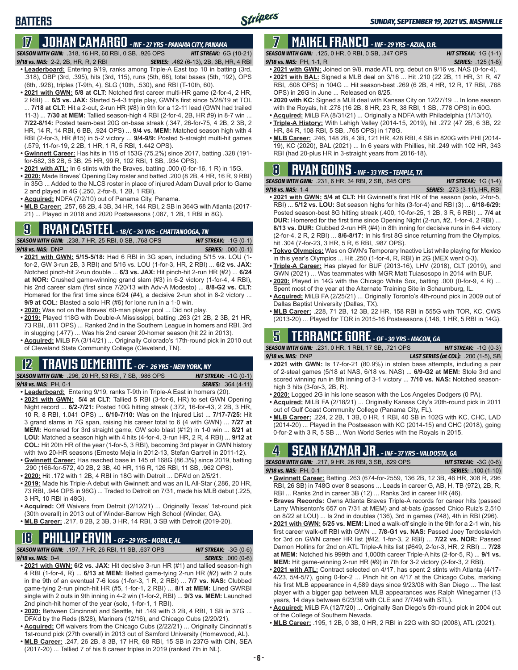# **17 JOHAN CAMARGO** *- INF - 27 YRS - PANAMA CITY, PANAMA*

*SEASON WITH GWN:*.318, 16 HR, 60 RBI, 0 SB, .926 OPS *HIT STREAK:* 6G (10-21)

### *9/18 vs. NAS:* 2-2, 2B, HR, R, 2 RBI *SERIES:* .462 (6-13), 2B, 3B, HR, 4 RBI

**BATTERS**

- **• Leaderboard:** Entering 9/19, ranks among Triple-A East top 10 in batting (3rd, .318), OBP (3rd, .395), hits (3rd, 115), runs (5th, 66), total bases (5th, 192), OPS (6th, .926), triples (T-9th, 4), SLG (10th, .530), and RBI (T-10th, 60).
- **• 2021 with GWN: 5/8 at CLT:** Notched first career multi-HR game (2-for-4, 2 HR, 2 RBI) ... **6/5 vs. JAX:** Started 5-4-3 triple play, GWN's first since 5/28/19 at TOL ... **7/18 at CLT:** Hit a 2-out, 2-run HR (#8) in 9th for a 12-11 lead (GWN had trailed 11-3) ... **7/30 at MEM:** Tallied season-high 4 RBI (2-for-4, 2B, HR #9) in 8-7 win ... **7/22-8/14:** Posted team-best 20G on-base streak (.347, 26-for-75, 4 2B, 2 3B, 2 HR, 14 R, 14 RBI, 6 BB, .924 OPS) ... **9/4 vs. MEM:** Matched season high with 4 RBI (2-for-3, HR #15) in 5-2 victory ... **9/4-9/9:** Posted 5-straight multi-hit games (.579, 11-for-19, 2 2B, 1 HR, 1 R, 5 RBI, 1.442 OPS).
- **• Gwinnett Career:** Has hits in 115 of 153G (75.2%) since 2017, batting .328 (191 for-582, 38 2B, 5 3B, 25 HR, 99 R, 102 RBI, 1 SB, .934 OPS).
- **• 2021 with ATL:** In 6 stints with the Braves, batting .000 (0-for-16, 1 R) in 15G.
- **• 2020:** Made Braves' Opening Day roster and batted .200 (8 2B, 4 HR, 16 R, 9 RBI) in 35G ... Added to the NLCS roster in place of injured Adam Duvall prior to Game 2 and played in 4G (.250, 2-for-8, 1 2B, 1 RBI).
- **• Acquired:** NDFA (7/2/10) out of Panama City, Panama.
- **• MLB Career:** .257, 68 2B, 4 3B, 34 HR, 144 RBI, 2 SB in 364G with Atlanta (2017- 21) ... Played in 2018 and 2020 Postseasons (.087, 1 2B, 1 RBI in 8G).

# **9 RYAN CASTEEL** *- 1B/C - 30 YRS - CHATTANOOGA, TN*

*SEASON WITH GWN:*.238, 7 HR, 25 RBI, 0 SB, .768 OPS *HIT STREAK:* -1G (0-1) *9/18 vs. NAS:*DNP *SERIES:* .000 (0-1)

- **• 2021 with GWN: 5/15-5/18:** Had 6 RBI in 3G span, including 5/15 vs. LOU (1 for-2, GW 3-run 2B, 3 RBI) and 5/16 vs. LOU (1-for-3, HR, 2 RBI) ... **6/2 vs. JAX:** Notched pinch-hit 2-run double ... **6/3 vs. JAX:** Hit pinch-hit 2-run HR (#2) ... **6/24 at NOR:** Crushed game-winning grand slam (#3) in 6-2 victory (1-for-4, 4 RBI), his 2nd career slam (first since 7/20/13 with Adv-A Modesto) ... **8/8-G2 vs. CLT:** Homered for the first time since 6/24 (#4), a decisive 2-run shot in 8-2 victory ... **9/9 at COL:** Blasted a solo HR (#6) for lone run in a 1-0 win.
- **• 2020:** Was not on the Braves' 60-man player pool ... Did not play.
- **• 2019:** Played 118G with Double-A Mississippi, batting .263 (21 2B, 2 3B, 21 HR, 73 RBI, .811 OPS) ... Ranked 2nd in the Southern League in homers and RBI, 3rd in slugging (.477) ... Was his 2nd career 20-homer season (hit 22 in 2013).
- **• Acquired:** MiLB FA (3/14/21) ... Originally Colorado's 17th-round pick in 2010 out of Cleveland State Community College (Cleveland, TN).

### **12 TRAVIS DEMERITTE** *- OF - 26 YRS - NEW YORK, NY*

*SEASON WITH GWN:*.296, 20 HR, 53 RBI, 7 SB, .986 OPS *HIT STREAK:* -1G (0-1) *9/18 vs. NAS:*PH, 0-1 *SERIES:* .364 (4-11)

- **• Leaderboard:** Entering 9/19, ranks T-9th in Triple-A East in homers (20).
- **• 2021 with GWN: 5/4 at CLT:** Tallied 5 RBI (3-for-6, HR) to set GWN Opening Night record ... **6/2-7/21:** Posted 10G hitting streak (.372, 16-for-43, 2 2B, 3 HR, 10 R, 8 RBI, 1.041 OPS) ... **6/10-7/10:** Was on the Injured List ... **7/17-7/25:** Hit 3 grand slams in 7G span, raising his career total to 6 (4 with GWN) ... **7/27 at MEM:** Homered for 3rd straight game, GW solo blast (#12) in 1-0 win ... **8/21 at LOU:** Matched a season high with 4 hits (4-for-4, 3-run HR, 2 R, 4 RBI) ... **9/12 at COL:** Hit 20th HR of the year (1-for-5, 3 RBI), becoming 3rd player in GWN history with two 20-HR seasons (Ernesto Mejia in 2012-13, Stefan Gartrell in 2011-12).
- **• Gwinnett Career:** Has reached base in 145 of 168G (86.3%) since 2019, batting .290 (166-for-572, 40 2B, 2 3B, 40 HR, 116 R, 126 RBI, 11 SB, .962 OPS).
- **• 2020:** Hit .172 with 1 2B, 4 RBI in 18G with Detroit ... DFA'd on 2/5/21.
- **• 2019:** Made his Triple-A debut with Gwinnett and was an IL All-Star (.286, 20 HR, 73 RBI, .944 OPS in 96G) ... Traded to Detroit on 7/31, made his MLB debut (.225, 3 HR, 10 RBI in 48G).
- **• Acquired:** Off Waivers from Detroit (2/12/21) ... Originally Texas' 1st-round pick (30th overall) in 2013 out of Winder-Barrow High School (Winder, GA).
- **• MLB Career:** .217, 8 2B, 2 3B, 3 HR, 14 RBI, 3 SB with Detroit (2019-20).

# **18 PHILLIP ERVIN** *- OF - 29 YRS - MOBILE, AL*

*SEASON WITH GWN:*.197, 7 HR, 26 RBI, 11 SB, .637 OPS *HIT STREAK:* -3G (0-6)

*9/18 vs. NAS:*0-4 *SERIES:* .000 (0-6)

- **• 2021 with GWN: 6/2 vs. JAX:** Hit decisive 3-run HR (#1) and tallied season-high 4 RBI (1-for-4, R) ... **6/13 at MEM:** Belted game-tying 2-run HR (#2) with 2 outs in the 9th of an eventual 7-6 loss (1-for-3, 1 R, 2 RBI) ... **7/7 vs. NAS:** Clubbed game-tying 2-run pinch-hit HR (#5, 1-for-1, 2 RBI) ... **8/1 at MEM:** Lined GWRBI single with 2 outs in 9th inning in 4-2 win (1-for-2, RBI) ... **9/3 vs. MEM:** Launched 2nd pinch-hit homer of the year (solo, 1-for-1, 1 RBI).
- **• 2020:** Between Cincinnati and Seattle, hit .149 with 3 2B, 4 RBI, 1 SB in 37G ... DFA'd by the Reds (8/28), Mariners (12/16), and Chicago Cubs (2/20/21).
- **• Acquired:** Off waivers from the Chicago Cubs (2/22/21) ... Originally Cincinnati's 1st-round pick (27th overall) in 2013 out of Samford University (Homewood, AL).
- **• MLB Career:** .247, 26 2B, 8 3B, 17 HR, 68 RBI, 15 SB in 237G with CIN, SEA (2017-20) ... Tallied 7 of his 8 career triples in 2019 (ranked 7th in NL).

# **7 MAIKEL FRANCO** *- INF - 29 YRS - AZUA, D.R.*

*SEASON WITH GWN:*.125, 0 HR, 0 RBI, 0 SB, .347 OPS *HIT STREAK:* 1G (1-1) *9/18 vs. NAS:*PH, 1-1, R *SERIES:* .125 (1-8)

- **• 2021 with GWN:** Joined on 9/8, made ATL org. debut on 9/16 vs. NAS (0-for-4).
- **• 2021 with BAL:** Signed a MLB deal on 3/16 ... Hit .210 (22 2B, 11 HR, 31 R, 47 RBI, .608 OPS) in 104G ... Hit season-best .269 (6 2B, 4 HR, 12 R, 17 RBI, .768 OPS) in 26G in June ... Released on 8/25.
- **• 2020 with KC:** Signed a MLB deal with Kansas City on 12/27/19 ... In lone season with the Royals, hit .278 (16 2B, 8 HR, 23 R, 38 RBI, 1 SB, .778 OPS) in 60G.
- **• Acquired:** MiLB FA (8/31/21) ... Originally a NDFA with Philadelphia (1/13/10).
- **• Triple-A History:** With Lehigh Valley (2014-15, 2019), hit .272 (47 2B, 6 3B, 22 HR, 84 R, 108 RBI, 5 SB, .765 OPS) in 178G.
- **• MLB Career:** .246, 148 2B, 4 3B, 121 HR, 428 RBI, 4 SB in 820G with PHI (2014- 19), KC (2020), BAL (2021) ... In 6 years with Phillies, hit .249 with 102 HR, 343 RBI (had 20-plus HR in 3-straight years from 2016-18).

# **8 RYAN GOINS** *- INF - 33 YRS - TEMPLE, TX*

| <b>SEASON WITH GWN:</b> .231, 6 HR, 34 RBI, 2 SB, .645 OPS 1                 | <b>HIT STREAK:</b> $1G(1-4)$        |
|------------------------------------------------------------------------------|-------------------------------------|
| <b>9/18 vs. NAS: 1-4</b>                                                     | <b>SERIES:</b> .273 (3-11), HR, RBI |
| <b>COOL</b> ILL OWNER FILED OF THE ORDER HIS CALLED STILL SERVICE OF A FILED |                                     |

- **• 2021 with GWN: 5/4 at CLT:** Hit Gwinnett's first HR of the season (solo, 2-for-5, RBI) ... **5/12 vs. LOU:** Set season highs for hits (3-for-4) and RBI (3) ... **6/18-6/29:** Posted season-best 8G hitting streak (.400, 10-for-25, 1 2B, 3 R, 6 RBI) ... **7/4 at DUR:** Homered for the first time since Opening Night (2-run, #2, 1-for-4, 2 RBI) ... **8/13 vs. DUR:** Clubbed 2-run HR (#4) in 8th inning for decisive runs in 6-4 victory (2-for-4, 2 R, 2 RBI) ... **8/6-8/17:** In his first 8G since returning from the Olympics, hit .304 (7-for-23, 3 HR, 5 R, 6 RBI, .987 OPS).
- **• Tokyo Olympics:** Was on GWN's Temporary Inactive List while playing for Mexico in this year's Olympics ... Hit .250 (1-for-4, R, RBI) in 2G (MEX went 0-3).
- **• Triple-A Career:** Has played for BUF (2013-16), LHV (2018), CLT (2019), and GWN (2021) ... Was teammates with MGR Matt Tuiasosopo in 2014 with BUF.
- **• 2020:** Played in 14G with the Chicago White Sox, batting .000 (0-for-9, 4 R) ... Spent most of the year at the Alternate Training Site in Schaumburg, IL.
- **• Acquired:** MiLB FA (2/25/21) ... Originally Toronto's 4th-round pick in 2009 out of Dallas Baptist University (Dallas, TX).
- **• MLB Career:** .228, 71 2B, 12 3B, 22 HR, 158 RBI in 555G with TOR, KC, CWS (2013-20) ... Played for TOR in 2015-16 Postseasons (.146, 1 HR, 5 RBI in 14G).

## **5 TERRANCE GORE** *- OF - 30 YRS - MACON, GA*

*SEASON WITH GWN:*.231, 0 HR, 1 RBI, 17 SB, .721 OPS *HIT STREAK:* -1G (0-3) *9/18 vs. NAS:*DNP *LAST SERIES (at COL):* .200 (1-5), SB

- **• 2021 with GWN:** Is 17-for-21 (80.9%) in stolen base attempts, including a pair of 2-steal games (5/18 at NAS, 6/18 vs. NAS) ... **6/9-G2 at MEM:** Stole 3rd and scored winning run in 8th inning of 3-1 victory ... **7/10 vs. NAS:** Notched seasonhigh 3 hits (3-for-3, 2B, R).
- **• 2020:** Logged 2G in his lone season with the Los Angeles Dodgers (0 PA).
- **• Acquired:** MiLB FA (2/18/21) ... Originally Kansas City's 20th-round pick in 2011 out of Gulf Coast Community College (Panama City, FL).
- **• MLB Career:** .224, 2 2B, 1 3B, 0 HR, 1 RBI, 40 SB in 102G with KC, CHC, LAD (2014-20) ... Played in the Postseason with KC (2014-15) and CHC (2018), going 0-for-2 with 3 R, 5 SB ... Won World Series with the Royals in 2015.

## **4 SEAN KAZMAR JR.** *- INF - 37 YRS - VALDOSTA, GA*

| <b>SEASON WITH GWN:</b> .217, 9 HR, 26 RBI, 3 SB, .629 OPS                      | <b>HIT STREAK:</b> $-3G(0-6)$ |
|---------------------------------------------------------------------------------|-------------------------------|
| 9/18 vs. NAS: PH. 0-1                                                           | <b>SERIES:</b> .100 (1-10)    |
| $\sim$ Current Consent Deffine 000 (074 for OEED 400 OD 40.0 D 40.11D 000 D 000 |                               |

- **• Gwinnett Career:** Batting .263 (674-for-2559, 136 2B, 12 3B, 46 HR, 308 R, 296 RBI, 26 SB) in 748G over 8 seasons ... Leads in career G, AB, H, TB (972), 2B, R, RBI ... Ranks 2nd in career 3B (12) ... Ranks 3rd in career HR (46).
- **• Braves Records:** Owns Atlanta Braves Triple-A records for career hits (passed Larry Whisenton's 657 on 7/31 at MEM) and at-bats (passed Chico Ruiz's 2,510 on 8/22 at LOU) ... Is 2nd in doubles (136), 3rd in games (748), 4th in RBI (296).
- **• 2021 with GWN: 5/25 vs. MEM:** Lined a walk-off single in the 9th for a 2-1 win, his first career walk-off RBI with GWN ... **7/8-G1 vs. NAS:** Passed Joey Terdoslavich for 3rd on GWN career HR list (#42, 1-for-3, 2 RBI) ... **7/22 vs. NOR:** Passed Damon Hollins for 2nd on ATL Triple-A hits list (#649, 2-for-3, HR, 2 RBI) ... **7/28 at MEM:** Notched his 999th and 1,000th career Triple-A hits (2-for-5, R) ... **9/1 vs. MEM:** Hit game-winning 2-run HR (#9) in 7th for 3-2 victory (2-for-3, 2 RBI).
- **• 2021 with ATL:** Contract selected on 4/17, has spent 2 stints with Atlanta (4/17- 4/23, 5/4-5/7), going 0-for-2 ... Pinch hit on 4/17 at the Chicago Cubs, marking his first MLB appearance in 4,589 days since 9/23/08 with San Diego ... The last player with a bigger gap between MLB appearances was Ralph Winegarner (13 years, 14 days between 6/23/36 with CLE and 7/7/49 with STL).
- **• Acquired:** MiLB FA (12/7/20) ... Originally San Diego's 5th-round pick in 2004 out of the College of Southern Nevada.
- **• MLB Career:** .195, 1 2B, 0 3B, 0 HR, 2 RBI in 22G with SD (2008), ATL (2021).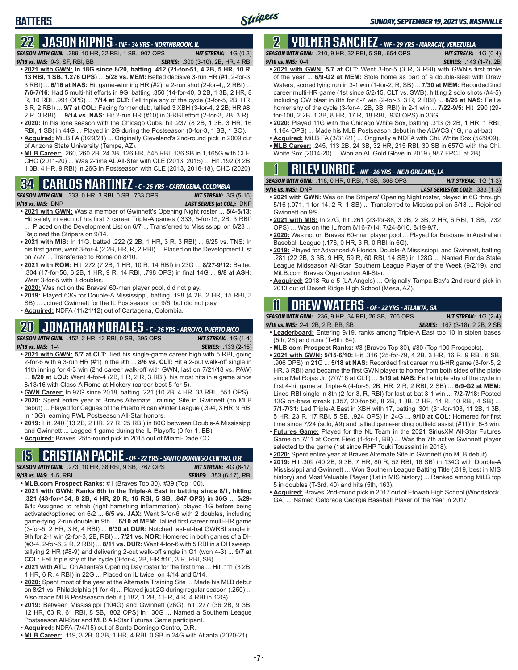# **22 JASON KIPNIS** *- INF - 34 YRS - NORTHBROOK, IL*

**BATTERS**

*SEASON WITH GWN:*.289, 10 HR, 32 RBI, 1 SB, .907 OPS *HIT STREAK:* -1G (0-3) *9/18 vs. NAS:*0-3, SF, RBI, BB *SERIES:* .300 (3-10), 2B, HR, 4 RBI

- **• 2021 with GWN: In 18G since 8/20, batting .412 (21-for-51, 4 2B, 5 HR, 10 R, 13 RBI, 1 SB, 1.276 OPS)** ... **5/28 vs. MEM:** Belted decisive 3-run HR (#1, 2-for-3, 3 RBI) ... **6/16 at NAS:** Hit game-winning HR (#2), a 2-run shot (2-for-4,, 2 RBI) ... **7/6-7/16:** Had 5 multi-hit efforts in 9G, batting .350 (14-for-40, 3 2B, 1 3B, 2 HR, 8 R, 10 RBI, .991 OPS) ... **7/14 at CLT:** Fell triple shy of the cycle (3-for-5, 2B, HR, 3 R, 2 RBI) ... **9/7 at COL:** Facing former club, tallied 3 XBH (3-for-4, 2 2B, HR #8, 2 R, 3 RBI) ... **9/14 vs. NAS:** Hit 2-run HR (#10) in 3-RBI effort (2-for-3, 2B, 3 R).
- **• 2020:** In his lone season with the Chicago Cubs, hit .237 (8 2B, 1 3B, 3 HR, 16 RBI, 1 SB) in 44G ... Played in 2G during the Postseason (0-for-3, 1 BB, 1 SO).
- **• Acquired:** MiLB FA (3/29/21) ... Originally Cleveland's 2nd-round pick in 2009 out of Arizona State University (Tempe, AZ).
- **• MLB Career:** .260, 260 2B, 24 3B, 126 HR, 545 RBI, 136 SB in 1,165G with CLE, CHC (2011-20) ... Was 2-time AL All-Star with CLE (2013, 2015) ... Hit .192 (3 2B, 1 3B, 4 HR, 9 RBI) in 26G in Postseason with CLE (2013, 2016-18), CHC (2020).

# **34 CARLOS MARTINEZ** *- C - 26 YRS - CARTAGENA, COLOMBIA*



- **• 2021 with GWN:** Was a member of Gwinnett's Opening Night roster ... **5/4-5/13:** Hit safely in each of his first 3 career Triple-A games (.333, 5-for-15, 2B, 3 RBI) ... Placed on the Development List on 6/7 ... Transferred to Mississippi on 6/23 ... Rejoined the Stripers on 9/14.
- **• 2021 with MIS:** In 11G, batted .222 (2 2B, 1 HR, 3 R, 3 RBI) ... 6/25 vs. TNS: In his first game, went 3-for-4 (2 2B, HR, R, 2 RBI) ... Placed on the Development List on 7/27 ... Transferred to Rome on 8/10.
- **• 2021 with ROM:** Hit .272 (7 2B, 1 HR, 10 R, 14 RBI) in 23G ... **8/27-9/12:** Batted .304 (17-for-56, 6 2B, 1 HR, 9 R, 14 RBI, .798 OPS) in final 14G ... **9/8 at ASH:** Went 3-for-5 with 3 doubles.
- **• 2020:** Was not on the Braves' 60-man player pool, did not play.
- **• 2019:** Played 63G for Double-A Mississippi, batting .198 (4 2B, 2 HR, 15 RBI, 3 SB) ... Joined Gwinnett for the IL Postseason on 9/6, but did not play.
- **• Acquired:** NDFA (11/21/12) out of Cartagena, Colombia.

## **20 JONATHAN MORALES** *- C - 26 YRS - ARROYO, PUERTO RICO*



- **• 2021 with GWN: 5/7 at CLT:** Tied his single-game career high with 5 RBI, going 2-for-6 with a 3-run HR (#1) in the 9th ... **8/6 vs. CLT:** Hit a 2-out walk-off single in 11th inning for 4-3 win (2nd career walk-off with GWN, last on 7/21/18 vs. PAW) ... **8/20 at LOU:** Went 4-for-4 (2B, HR, 2 R, 3 RBI), his most hits in a game since 8/13/16 with Class-A Rome at Hickory (career-best 5-for-5).
- **• GWN Career:** In 97G since 2018, batting .221 (10 2B, 4 HR, 33 RBI, .551 OPS).
- **• 2020:** Spent entire year at Braves Alternate Training Site in Gwinnett (no MLB debut) ... Played for Caguas of the Puerto Rican Winter League (.394, 3 HR, 9 RBI in 13G), earning PWL Postseason All-Star honors.
- **• 2019:** Hit .240 (13 2B, 2 HR, 27 R, 25 RBI) in 80G between Double-A Mississippi and Gwinnett ... Logged 1 game during the IL Playoffs (0-for-1, BB).
- **• Acquired:** Braves' 25th-round pick in 2015 out of Miami-Dade CC.

# **15 CRISTIAN PACHE** *- OF - 22 YRS - SANTO DOMINGO CENTRO, D.R.*

*SEASON WITH GWN:*.273, 10 HR, 38 RBI, 9 SB, .767 OPS *HIT STREAK:* 4G (6-17) *9/18 vs. NAS:* 1-5, RBI *SERIES:* .353 (6-17), RBI

- **• MLB.com Prospect Ranks:** #1 (Braves Top 30), #39 (Top 100). **• 2021 with GWN: Ranks 6th in the Triple-A East in batting since 8/1, hitting .321 (43-for-134, 8 2B, 4 HR, 20 R, 16 RBI, 5 SB, .847 OPS) in 36G** ... **5/29- 6/1:** Assigned to rehab (right hamstring inflammation), played 1G before being activated/optioned on 6/2 ... **6/5 vs. JAX:** Went 3-for-6 with 2 doubles, including game-tying 2-run double in 9th ... **6/10 at MEM:** Tallied first career multi-HR game (3-for-5, 2 HR, 3 R, 4 RBI) ... **6/30 at DUR:** Notched last-at-bat GWRBI single in 9th for 2-1 win (2-for-3, 2B, RBI) ... **7/21 vs. NOR:** Homered in both games of a DH (#3-4, 2-for-6, 2 R, 2 RBI) ... **8/11 vs. DUR:** Went 4-for-6 with 5 RBI in a DH sweep, tallying 2 HR (#8-9) and delivering 2-out walk-off single in G1 (won 4-3) ... **9/7 at COL:** Fell triple shy of the cycle (3-for-4, 2B, HR #10, 3 R, RBI, SB).
- **• 2021 with ATL:** On Atlanta's Opening Day roster for the first time ... Hit .111 (3 2B, 1 HR, 6 R, 4 RBI) in 22G ... Placed on IL twice, on 4/14 and 5/14.
- **• 2020:** Spent most of the year at the Alternate Training Site ... Made his MLB debut on 8/21 vs. Philadelphia (1-for-4) ... Played just 2G during regular season (.250) ... Also made MLB Postseason debut (.182, 1 2B, 1 HR, 4 R, 4 RBI in 12G).
- **• 2019:** Between Mississippi (104G) and Gwinnett (26G), hit .277 (36 2B, 9 3B, 12 HR, 63 R, 61 RBI, 8 SB, .802 OPS) in 130G ... Named a Southern League Postseason All-Star and MLB All-Star Futures Game participant.
- **• Acquired:** NDFA (7/4/15) out of Santo Domingo Centro, D.R.
- **• MLB Career:** .119, 3 2B, 0 3B, 1 HR, 4 RBI, 0 SB in 24G with Atlanta (2020-21).

### **2 YOLMER SANCHEZ** *- INF - 29 YRS - MARACAY, VENEZUELA SEASON WITH GWN:*.210, 9 HR, 32 RBI, 5 SB, .654 OPS *HIT STREAK:* -1G (0-4)

*9/18 vs. NAS:*0-4 *SERIES:* .143 (1-7), 2B

- 
- **• 2021 with GWN: 5/7 at CLT:** Went 3-for-5 (3 R, 3 RBI) with GWN's first triple of the year ... **6/9-G2 at MEM:** Stole home as part of a double-steal with Drew Waters, scored tying run in 3-1 win (1-for-2, R, SB) ... **7/30 at MEM:** Recorded 2nd career multi-HR game (1st since 5/2/15, CLT vs. SWB), hitting 2 solo shots (#4-5) including GW blast in 8th for 8-7 win (2-for-3, 3 R, 2 RBI) ... **8/26 at NAS:** Fell a homer shy of the cycle (3-for-4, 2B, 3B, RBI) in 2-1 win ... **7/22-9/5:** Hit .290 (29 for-100, 2 2B, 1 3B, 8 HR, 17 R, 18 RBI, .933 OPS) in 33G.
- **• 2020:** Played 11G with the Chicago White Sox, batting .313 (3 2B, 1 HR, 1 RBI, 1.164 OPS) ... Made his MLB Postseason debut in the ALWCS (1G, no at-bat).
- **• Acquired:** MiLB FA (3/31/21) ... Originally a NDFA with Chi. White Sox (5/29/09). **• MLB Career:** .245, 113 2B, 24 3B, 32 HR, 215 RBI, 30 SB in 657G with the Chi.

| White Sox (2014-20)  Won an AL Gold Glove in 2019 (.987 FPCT at 2B). |  |
|----------------------------------------------------------------------|--|
|                                                                      |  |

| <b>RILEY UNROE</b> - INF - 26 YRS - NEW ORLEANS, LA         |                              |  |
|-------------------------------------------------------------|------------------------------|--|
| <b>SEASON WITH GWN:</b> .118. 0 HR. 0 RBI. 1 SB. .368 OPS . | <b>HIT STREAK:</b> $1G(1-3)$ |  |

*9/18 vs. NAS:*DNP *LAST SERIES (at COL):* .333 (1-3) **• 2021 with GWN:** Was on the Stripers' Opening Night roster, played in 6G through

- 5/16 (.071, 1-for-14, 2 R, 1 SB) ... Transferred to Mississippi on 5/18 ... Rejoined Gwinnett on 9/9.
- **• 2021 with MIS:** In 27G, hit .261 (23-for-88, 3 2B, 2 3B, 2 HR, 6 RBI, 1 SB, .732 OPS) ... Was on the IL from 6/16-7/14, 7/24-8/10, 8/19-9/7.
- **• 2020:** Was not on Braves' 60-man player pool ... Played for Brisbane in Australian Baseball League (.176, 0 HR, 3 R, 0 RBI in 6G).
- **• 2019:** Played for Advanced-A Florida, Double-A Mississippi, and Gwinnett, batting .281 (22 2B, 3 3B, 9 HR, 59 R, 60 RBI, 14 SB) in 128G ... Named Florida State League Midseason All-Star, Southern League Player of the Week (9/2/19), and MiLB.com Braves Organization All-Star.
- **• Acquired:** 2018 Rule 5 (LA Angels) ... Originally Tampa Bay's 2nd-round pick in 2013 out of Desert Ridge High School (Mesa, AZ).

# **11 Drew WATERS** *- OF - 22 YRS - ATLANTA, GA*

*SEASON WITH GWN:*.236, 9 HR, 34 RBI, 26 SB, .705 OPS *HIT STREAK:* 1G (2-4)

- *9/18 vs. NAS:*2-4, 2B, 2 R, BB, SB *SERIES:* .167 (3-18), 2 2B, 2 SB **• Leaderboard:** Entering 9/19, ranks among Triple-A East top 10 in stolen bases (5th, 26) and runs (T-6th, 64).
- **• MLB.com Prospect Ranks:** #3 (Braves Top 30), #80 (Top 100 Prospects).
- **• 2021 with GWN: 5/15-6/10:** Hit .316 (25-for-79, 4 2B, 3 HR, 16 R, 9 RBI, 6 SB, .906 OPS) in 21G ... **5/18 at NAS:** Recorded first career multi-HR game (3-for-5, 2 HR, 3 RBI) and became the first GWN player to homer from both sides of the plate since Mel Rojas Jr. (7/7/16 at CLT) ... **5/19 at NAS:** Fell a triple shy of the cycle in first 4-hit game at Triple-A (4-for-5, 2B, HR, 2 R, 2 RBI, 2 SB) ... **6/9-G2 at MEM:** Lined RBI single in 8th (2-for-3, R, RBI) for last-at-bat 3-1 win ... **7/2-7/18:** Posted 13G on-base streak (.357, 20-for-56, 8 2B, 1 3B, 2 HR, 14 R, 10 RBI, 4 SB) ... **7/1-7/31:** Led Triple-A East in XBH with 17, batting .301 (31-for-103, 11 2B, 1 3B, 5 HR, 23 R, 17 RBI, 5 SB, .924 OPS) in 24G ... **9/10 at COL:** Homered for first time since 7/24 (solo, #9) and tallied game-ending outfield assist (#11) in 6-3 win.
- **• Futures Game:** Played for the NL Team in the 2021 SiriusXM All-Star Futures Game on 7/11 at Coors Field (1-for-1, BB) ... Was the 7th active Gwinnett player selected to the game (1st since RHP Touki Toussaint in 2018).
- **• 2020:** Spent entire year at Braves Alternate Site in Gwinnett (no MLB debut).
- **• 2019:** Hit .309 (40 2B, 9 3B, 7 HR, 80 R, 52 RBI, 16 SB) in 134G with Double-A Mississippi and Gwinnett ... Won Southern League Batting Title (.319, best in MIS history) and Most Valuable Player (1st in MIS history) ... Ranked among MiLB top 5 in doubles (T-3rd, 40) and hits (5th, 163).
- **• Acquired:** Braves' 2nd-round pick in 2017 out of Etowah High School (Woodstock, GA) ... Named Gatorade Georgia Baseball Player of the Year in 2017.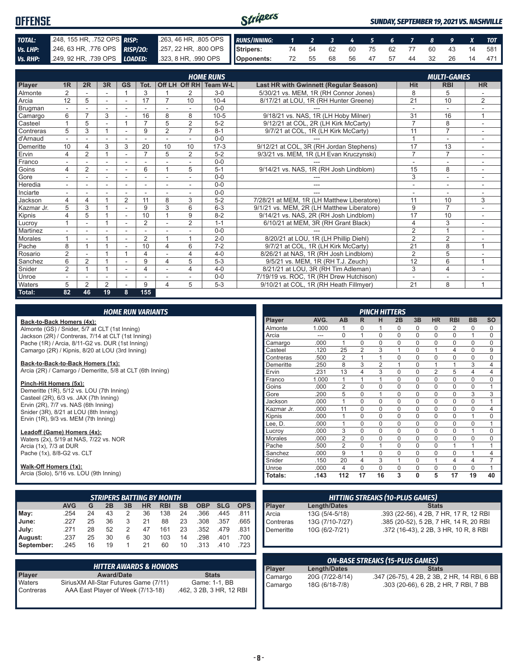| <b>OFFENSE</b> |  |                                                                                                      | Stripers |  |  |  |  |  | <b>SUNDAY, SEPTEMBER 19, 2021 VS. NASHVILLE</b> |
|----------------|--|------------------------------------------------------------------------------------------------------|----------|--|--|--|--|--|-------------------------------------------------|
| TOTAL:         |  | 2008, 155 HR, 752 OPS RISP: 263, 46 HR, 805 OPS RUNS/INNING: 1 2 3 4 5 6 7 8 9 X TOT                 |          |  |  |  |  |  |                                                 |
| Vs. LHP:       |  | 246, 63 HR, 776 OPS RISP/20: 257, 22 HR, 800 OPS Stripers: 74 54 62 60 75 62 77 60 43 14 581         |          |  |  |  |  |  |                                                 |
|                |  | Vs. RHP: 249, 92 HR, 739 OPS LOADED: 323, 8 HR, 990 OPS Opponents: 72 55 68 56 47 57 44 32 26 14 471 |          |  |  |  |  |  |                                                 |

|                 |                |                |                          |                          |                |                |                | <b>HOME RUNS</b>       |                                            |                 | <b>MULTI-GAMES</b> |                          |
|-----------------|----------------|----------------|--------------------------|--------------------------|----------------|----------------|----------------|------------------------|--------------------------------------------|-----------------|--------------------|--------------------------|
| Player          | 1R             | 2R             | 3R                       | <b>GS</b>                | Tot.           |                |                | Off LH Off RH Team W-L | Last HR with Gwinnett (Regular Season)     | <b>Hit</b>      | <b>RBI</b>         | <b>HR</b>                |
| Almonte         | 2              |                |                          |                          | 3              |                | $\overline{2}$ | $3-0$                  | 5/30/21 vs. MEM, 1R (RH Connor Jones)      | 8               | 5                  |                          |
| Arcia           | 12             | 5              | $\sim$                   | $\overline{a}$           | 17             |                | 10             | $10 - 4$               | 8/17/21 at LOU, 1R (RH Hunter Greene)      | $\overline{21}$ | 10                 | $\overline{2}$           |
| Brugman         |                |                |                          |                          |                |                |                | $0 - 0$                |                                            | $\sim$          |                    |                          |
| Camargo         | 6              | ⇁              | 3                        |                          | 16             | 8              | 8              | $10 - 5$               | 9/18/21 vs. NAS, 1R (LH Hoby Milner)       | 31              | 16                 | 1                        |
| Casteel         |                | 5              | ٠                        |                          | $\overline{ }$ | 5              | $\overline{2}$ | $5 - 2$                | 9/12/21 at COL, 2R (LH Kirk McCarty)       | $\overline{7}$  | 8                  | $\overline{\phantom{a}}$ |
| Contreras       | 5              | 3              |                          | $\overline{a}$           | 9              | $\overline{2}$ | $\overline{7}$ | $8 - 1$                | 9/7/21 at COL, 1R (LH Kirk McCarty)        | 11              | $\overline{7}$     |                          |
| d'Arnaud        |                |                |                          |                          |                |                |                | $0 - 0$                |                                            |                 | ٠                  |                          |
| Demeritte       | 10             |                | 3                        | 3                        | 20             | 10             | 10             | $17-3$                 | 9/12/21 at COL, 3R (RH Jordan Stephens)    | 17              | 13                 |                          |
| Ervin           | 4              | $\overline{2}$ |                          |                          | $\overline{ }$ | 5              | $\overline{2}$ | $5 - 2$                | 9/3/21 vs. MEM, 1R (LH Evan Kruczynski)    | $\overline{7}$  | $\overline{7}$     |                          |
| Franco          |                |                |                          |                          |                |                |                | $0 - 0$                |                                            |                 |                    |                          |
| Goins           | 4              | $\overline{2}$ | $\overline{\phantom{a}}$ | ٠                        | 6              |                | 5              | $5 - 1$                | 9/14/21 vs. NAS, 1R (RH Josh Lindblom)     | 15              | 8                  |                          |
| Gore            |                |                | $\overline{a}$           |                          |                |                |                | $0 - 0$                |                                            | 3               | ٠                  |                          |
| Heredia         |                |                | ٠                        | $\blacksquare$           |                | ٠              |                | $0 - 0$                | ---                                        | ٠               | ٠                  |                          |
| Inciarte        |                |                |                          |                          |                | ٠              |                | $0 - 0$                |                                            |                 |                    |                          |
| Jackson         | 4              | $\overline{4}$ |                          | 2                        | 11             | 8              | 3              | $5 - 2$                | 7/28/21 at MEM, 1R (LH Matthew Liberatore) | 11              | 10                 | 3                        |
| Kazmar Jr.      | 5              | 3              |                          |                          | 9              | 3              | 6              | $6 - 3$                | 9/1/21 vs. MEM, 2R (LH Matthew Liberatore) | 9               | $\overline{7}$     |                          |
| Kipnis          | 4              | 5              |                          | $\overline{\phantom{a}}$ | 10             |                | 9              | $8 - 2$                | 9/14/21 vs. NAS, 2R (RH Josh Lindblom)     | 17              | 10                 |                          |
| Lucrov          |                |                |                          | ٠                        | $\overline{2}$ |                | 2              | $1 - 1$                | 6/10/21 at MEM, 3R (RH Grant Black)        | $\overline{4}$  | 3                  |                          |
| <b>Martinez</b> |                |                |                          |                          |                |                |                | $0 - 0$                |                                            | $\overline{2}$  | $\overline{A}$     |                          |
| <b>Morales</b>  |                |                |                          | ٠                        | $\overline{2}$ |                | 1              | $2 - 0$                | 8/20/21 at LOU, 1R (LH Phillip Diehl)      | $\overline{2}$  | $\overline{2}$     |                          |
| Pache           | 8              |                |                          | ٠                        | 10             | 4              | 6              | $7 - 2$                | 9/7/21 at COL, 1R (LH Kirk McCarty)        | 21              | 8                  | 1                        |
| Rosario         | $\overline{2}$ |                |                          |                          | 4              |                | 4              | $4 - 0$                | 8/26/21 at NAS, 1R (RH Josh Lindblom)      | $\overline{2}$  | 5                  |                          |
| Sanchez         | 6              | 2              |                          |                          | 9              | 4              | 5              | $5 - 3$                | 9/5/21 vs. MEM, 1R (RH T.J. Zeuch)         | 12              | 6                  | 1                        |
| Snider          | $\overline{2}$ |                |                          |                          | 4              |                | 4              | $4 - 0$                | 8/21/21 at LOU, 3R (RH Tim Adleman)        | 3               | 4                  |                          |
| Unroe           |                |                |                          | $\overline{\phantom{a}}$ |                |                |                | $0 - 0$                | 7/19/19 vs. ROC. 1R (RH Drew Hutchison)    | ٠               | ۰                  |                          |
| Waters          | 5              | $\mathfrak{p}$ | 2                        |                          | 9              | 4              | 5              | $5-3$                  | 9/10/21 at COL, 1R (RH Heath Fillmyer)     | 21              | 8                  | 1                        |
| Total:          | 82             | 46             | 19                       | 8                        | 155            |                |                |                        |                                            |                 |                    |                          |

### *HOME RUN VARIANTS*

### **Back-to-Back Homers (4x):**

Almonte (GS) / Snider, 5/7 at CLT (1st Inning) Jackson (2R) / Contreras, 7/14 at CLT (1st Inning) Pache (1R) / Arcia, 8/11-G2 vs. DUR (1st Inning) Camargo (2R) / Kipnis, 8/20 at LOU (3rd Inning)

### **Back-to-Back-to-Back Homers (1x):**

Arcia (2R) / Camargo / Demeritte, 5/8 at CLT (6th Inning)

### **Pinch-Hit Homers (5x):**

Demeritte (1R), 5/12 vs. LOU (7th Inning) Casteel (2R), 6/3 vs. JAX (7th Inning) Ervin  $(2R)$ ,  $7/7$  vs. NAS  $(6th$  Inning) Snider (3R), 8/21 at LOU (8th Inning) Ervin (1R), 9/3 vs. MEM (7th Inning)

### **Leadoff (Game) Homers (4x):**

Waters (2x), 5/19 at NAS, 7/22 vs. NOR Arcia (1x), 7/3 at DUR Pache (1x), 8/8-G2 vs. CLT

### **Walk-Off Homers (1x):**

Arcia (Solo), 5/16 vs. LOU (9th Inning)

|            | <b>STRIPERS BATTING BY MONTH</b> |    |    |    |           |            |           |            |            |            |  |  |  |  |  |
|------------|----------------------------------|----|----|----|-----------|------------|-----------|------------|------------|------------|--|--|--|--|--|
|            | <b>AVG</b>                       | G  | 2B | 3B | <b>HR</b> | <b>RBI</b> | <b>SB</b> | <b>OBP</b> | <b>SLG</b> | <b>OPS</b> |  |  |  |  |  |
| May:       | .254                             | 24 | 43 | 2  | 36        | 138        | 24        | .366       | .445       | .811       |  |  |  |  |  |
| June:      | .227                             | 25 | 36 | 3  | 21        | 88         | 23        | .308       | .357       | .665       |  |  |  |  |  |
| July:      | .271                             | 28 | 52 | 2  | 47        | 161        | 23        | .352       | .479       | .831       |  |  |  |  |  |
| August:    | .237                             | 25 | 30 | 6  | 30        | 103        | 14        | .298       | .401       | .700       |  |  |  |  |  |
| September: | .245                             | 16 | 19 | 1  | 21        | 60         | 10        | .313       | .410       | .723       |  |  |  |  |  |

|               | <b>HITTER AWARDS &amp; HONORS</b>      |                          |
|---------------|----------------------------------------|--------------------------|
| <b>Player</b> | <b>Award/Date</b>                      | <b>Stats</b>             |
| Waters        | Sirius XM All-Star Futures Game (7/11) | Game: 1-1, BB            |
| Contreras     | AAA East Player of Week (7/13-18)      | .462, 3 2B, 3 HR, 12 RBI |

|                |       |                |                | <b>PINCH HITTERS</b> |          |             |                |                |                |           |
|----------------|-------|----------------|----------------|----------------------|----------|-------------|----------------|----------------|----------------|-----------|
| Player         | AVG.  | AB             | R              | н                    | 2B       | 3B          | <b>HR</b>      | <b>RBI</b>     | <b>BB</b>      | <b>SO</b> |
| Almonte        | 1.000 | 1              | 0              | 1                    | 0        | 0           | 0              | 2              | 0              | 0         |
| Arcia          | ---   | $\Omega$       | 1              | $\Omega$             | $\Omega$ | $\Omega$    | $\Omega$       | $\Omega$       | 1              | $\Omega$  |
| Camargo        | .000  | 1              | $\Omega$       | $\Omega$             | $\Omega$ | $\Omega$    | $\mathbf 0$    | $\Omega$       | $\Omega$       | $\Omega$  |
| Casteel        | .120  | 25             | $\overline{2}$ | 3                    | 1        | $\mathbf 0$ | 1              | $\overline{4}$ | $\mathbf 0$    | 9         |
| Contreras      | .500  | $\overline{2}$ | 1              | 1                    | 0        | $\mathbf 0$ | $\mathbf 0$    | $\mathbf 0$    | $\mathbf 0$    | 0         |
| Demeritte      | .250  | 8              | 3              | $\overline{2}$       | 1        | $\Omega$    | 1              | 1              | 3              | 4         |
| Ervin          | .231  | 13             | 4              | 3                    | $\Omega$ | $\Omega$    | $\overline{2}$ | 5              | $\overline{4}$ | 4         |
| Franco         | 1.000 | 1              | 1              | 1                    | $\Omega$ | $\Omega$    | $\mathbf 0$    | $\Omega$       | $\mathbf 0$    | $\Omega$  |
| Goins          | .000  | $\overline{2}$ | $\Omega$       | $\Omega$             | 0        | $\Omega$    | $\Omega$       | $\Omega$       | $\Omega$       | 1         |
| Gore           | .200  | 5              | $\Omega$       | 1                    | 0        | $\Omega$    | $\mathbf 0$    | $\Omega$       | 3              | 3         |
| Jackson        | .000  | 1              | $\Omega$       | $\Omega$             | $\Omega$ | $\Omega$    | $\Omega$       | $\Omega$       | $\Omega$       | 1         |
| Kazmar Jr.     | .000  | 11             | 0              | $\mathbf 0$          | 0        | 0           | $\mathbf 0$    | 0              | 0              | 4         |
| Kipnis         | .000  | 1              | $\Omega$       | $\Omega$             | $\Omega$ | $\Omega$    | $\mathbf 0$    | $\Omega$       | 1              | 0         |
| Lee, D.        | .000  | 1              | $\Omega$       | $\Omega$             | $\Omega$ | $\Omega$    | $\mathbf 0$    | $\Omega$       | $\mathbf 0$    | 1         |
| Lucrov         | .000  | 3              | 0              | $\Omega$             | $\Omega$ | $\Omega$    | $\mathbf 0$    | $\Omega$       | 1              | $\Omega$  |
| <b>Morales</b> | .000  | $\overline{2}$ | $\Omega$       | $\Omega$             | $\Omega$ | $\Omega$    | $\Omega$       | $\Omega$       | $\Omega$       | $\Omega$  |
| Pache          | .500  | $\overline{2}$ | 0              | 1                    | 0        | $\mathbf 0$ | $\mathbf 0$    | 1              | 1              | 1         |
| Sanchez        | .000  | 9              | 1              | $\Omega$             | $\Omega$ | $\Omega$    | $\Omega$       | $\Omega$       | 1              | 4         |
| Snider         | .150  | 20             | 4              | 3                    | 1        | $\Omega$    | 1              | $\overline{4}$ | $\overline{4}$ | 7         |
| Unroe          | .000  | 4              | $\Omega$       | $\Omega$             | $\Omega$ | 0           | 0              | $\Omega$       | $\Omega$       | 1         |
| <b>Totals:</b> | .143  | 112            | 17             | 16                   | 3        | 0           | 5              | 17             | 19             | 40        |

| <b>HITTING STREAKS (10-PLUS GAMES)</b> |                     |                                        |
|----------------------------------------|---------------------|----------------------------------------|
| Player                                 | <b>Length/Dates</b> | <b>Stats</b>                           |
| Arcia                                  | 13G (5/4-5/18)      | .393 (22-56), 4 2B, 7 HR, 17 R, 12 RBI |
| Contreras                              | 13G (7/10-7/27)     | .385 (20-52), 5 2B, 7 HR, 14 R, 20 RBI |
| Demeritte                              | 10G (6/2-7/21)      | .372 (16-43), 2 2B, 3 HR, 10 R, 8 RBI  |
|                                        |                     |                                        |

| <b>ON-BASE STREAKS (15-PLUS GAMES)</b> |                 |                                              |
|----------------------------------------|-----------------|----------------------------------------------|
| <b>Plaver</b>                          | Length/Dates    | <b>Stats</b>                                 |
| Camargo                                | 20G (7/22-8/14) | .347 (26-75), 4 2B, 2 3B, 2 HR, 14 RBI, 6 BB |
| Camargo                                | 18G (6/18-7/8)  | .303 (20-66), 6 2B, 2 HR, 7 RBI, 7 BB        |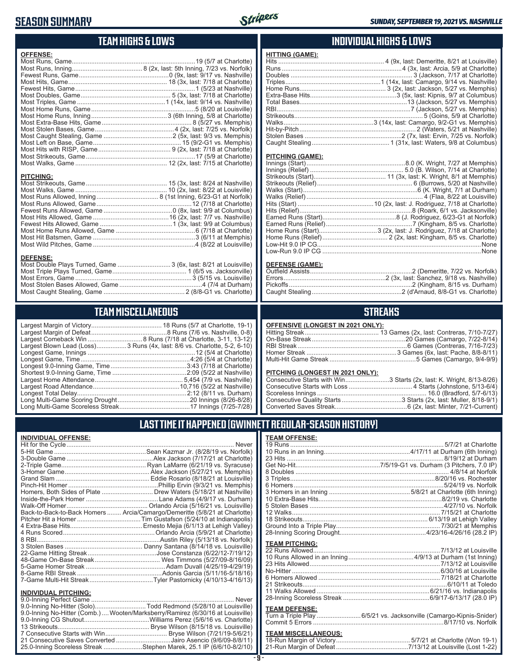## **SEASON SUMMARY**



# **TEAM HIGHS & LOWS**

| <b>OFFENSE:</b>                                                  |  |
|------------------------------------------------------------------|--|
|                                                                  |  |
|                                                                  |  |
|                                                                  |  |
|                                                                  |  |
|                                                                  |  |
|                                                                  |  |
|                                                                  |  |
|                                                                  |  |
|                                                                  |  |
|                                                                  |  |
|                                                                  |  |
|                                                                  |  |
|                                                                  |  |
|                                                                  |  |
|                                                                  |  |
|                                                                  |  |
|                                                                  |  |
| <b>PITCHING:</b>                                                 |  |
|                                                                  |  |
|                                                                  |  |
|                                                                  |  |
|                                                                  |  |
|                                                                  |  |
|                                                                  |  |
|                                                                  |  |
|                                                                  |  |
|                                                                  |  |
|                                                                  |  |
|                                                                  |  |
| <b>DEFENSE:</b>                                                  |  |
| Most Double Plays Turned, Game  3 (6x, last: 8/21 at Louisville) |  |
|                                                                  |  |

### **TEAM MISCELLANEOUS**

Most Errors, Game ..................................................................3 (5/15 vs. Louisville) Most Stolen Bases Allowed, Game ...............................................4 (7/4 at Durham) Most Caught Stealing, Game .............................................. 2 (8/8-G1 vs. Charlotte)

| Largest Blown Lead (Loss)3 Runs (4x, last: 8/6 vs. Charlotte, 5-2, 6-10) |
|--------------------------------------------------------------------------|
|                                                                          |
| Longest Game, Time……………………………………………………4:26 (5/4 at Charlotte)            |
|                                                                          |
|                                                                          |
|                                                                          |
| .10,716 (5/22 at Nashville)                                              |
|                                                                          |
|                                                                          |
|                                                                          |
|                                                                          |

### **INDIVIDUAL HIGHS & LOWS HITTING (GAME):** 4 (9x, last: Demeritte, 8/21 at Louisville)

### **PITCHING (GAME):**

### **DEFENSE (GAME):**

### **STREAKS**

### **OFFENSIVE (LONGEST IN 2021 ONLY):**

### **PITCHING (LONGEST IN 2021 ONLY):**

| Consecutive Starts with Win3 Starts (2x, last: K. Wright, 8/13-8/26) |
|----------------------------------------------------------------------|
|                                                                      |
|                                                                      |
|                                                                      |
|                                                                      |

## **LAST TIME IT HAPPENED (GWINNETT REGULAR-SEASON HISTORY)**

### **INDIVIDUAL OFFENSE:**

|                                                        | Homers, Both Sides of Plate  Drew Waters (5/18/21 at Nashville)            |
|--------------------------------------------------------|----------------------------------------------------------------------------|
|                                                        |                                                                            |
|                                                        |                                                                            |
|                                                        | Back-to-Back-to-Back Homers  Arcia/Camargo/Demeritte (5/8/21 at Charlotte) |
|                                                        |                                                                            |
|                                                        |                                                                            |
|                                                        |                                                                            |
|                                                        |                                                                            |
|                                                        |                                                                            |
|                                                        |                                                                            |
|                                                        |                                                                            |
|                                                        |                                                                            |
|                                                        |                                                                            |
|                                                        |                                                                            |
|                                                        |                                                                            |
| <b>INDIVIDUAL PITCHING:</b><br>0.0 Inning Perfect Came | Nover                                                                      |
|                                                        |                                                                            |

| 9.0-Inning No-Hitter (Solo)Todd Redmond (5/28/10 at Louisville)                |  |
|--------------------------------------------------------------------------------|--|
| 9.0-Inning No-Hitter (Comb.) Wooten/Marksberry/Ramirez (6/30/16 at Louisville) |  |
|                                                                                |  |
|                                                                                |  |
|                                                                                |  |
| 21 Consecutive Saves Converted Jairo Asencio (9/6/09-8/8/11)                   |  |
| 25.0-Inning Scoreless Streak Stephen Marek, 25.1 IP (6/6/10-8/2/10)            |  |
|                                                                                |  |

### **TEAM OFFENSE:**

|                       | 12 Walks…………………………………………………………………………7/15/21 at Charlotte            |
|-----------------------|---------------------------------------------------------------------|
|                       |                                                                     |
|                       |                                                                     |
|                       |                                                                     |
| <b>TEAM PITCHING:</b> |                                                                     |
|                       |                                                                     |
|                       |                                                                     |
|                       |                                                                     |
|                       |                                                                     |
|                       |                                                                     |
|                       |                                                                     |
|                       |                                                                     |
|                       |                                                                     |
|                       |                                                                     |
| <b>TEAM DEFENSE:</b>  |                                                                     |
|                       | Turn a Triple Play  6/5/21 vs. Jacksonville (Camargo-Kipnis-Snider) |
|                       |                                                                     |

## **TEAM MISCELLANEOUS:**<br>18-Run Margin of Victory....